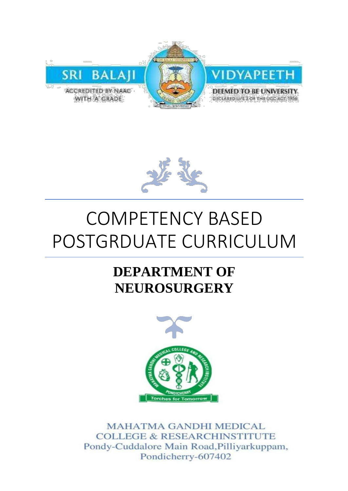



# COMPETENCY BASED POSTGRDUATE CURRICULUM

## **DEPARTMENT OF NEUROSURGERY**



**MAHATMA GANDHI MEDICAL COLLEGE & RESEARCHINSTITUTE** Pondy-Cuddalore Main Road, Pilliyarkuppam, Pondicherry-607402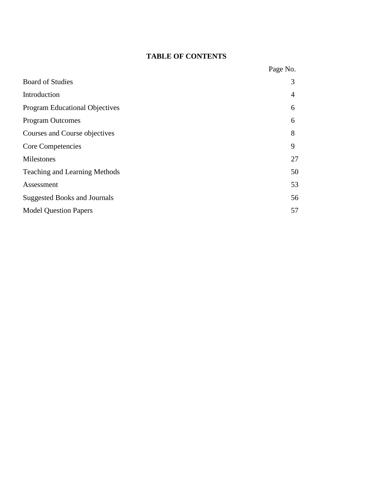### **TABLE OF CONTENTS**

|                                       | Page No. |
|---------------------------------------|----------|
| <b>Board of Studies</b>               | 3        |
| Introduction                          | 4        |
| <b>Program Educational Objectives</b> | 6        |
| <b>Program Outcomes</b>               | 6        |
| Courses and Course objectives         | 8        |
| Core Competencies                     | 9        |
| Milestones                            | 27       |
| Teaching and Learning Methods         | 50       |
| Assessment                            | 53       |
| <b>Suggested Books and Journals</b>   | 56       |
| <b>Model Question Papers</b>          | 57       |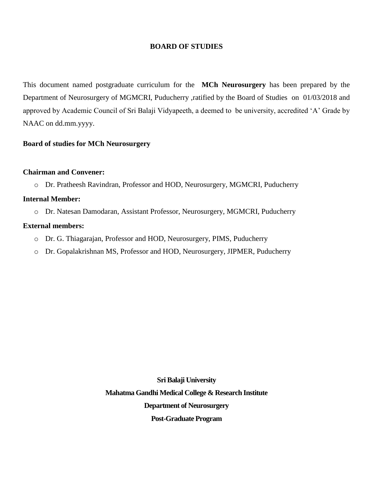#### **BOARD OF STUDIES**

This document named postgraduate curriculum for the **MCh Neurosurgery** has been prepared by the Department of Neurosurgery of MGMCRI, Puducherry ,ratified by the Board of Studies on 01/03/2018 and approved by Academic Council of Sri Balaji Vidyapeeth, a deemed to be university, accredited 'A' Grade by NAAC on dd.mm.yyyy.

#### **Board of studies for MCh Neurosurgery**

#### **Chairman and Convener:**

o Dr. Pratheesh Ravindran, Professor and HOD, Neurosurgery, MGMCRI, Puducherry

#### **Internal Member:**

o Dr. Natesan Damodaran, Assistant Professor, Neurosurgery, MGMCRI, Puducherry

#### **External members:**

- o Dr. G. Thiagarajan, Professor and HOD, Neurosurgery, PIMS, Puducherry
- o Dr. Gopalakrishnan MS, Professor and HOD, Neurosurgery, JIPMER, Puducherry

**Sri Balaji University Mahatma Gandhi Medical College & Research Institute Department of Neurosurgery Post-Graduate Program**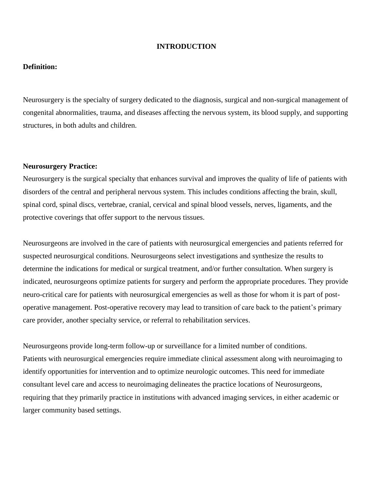#### **INTRODUCTION**

#### **Definition:**

Neurosurgery is the specialty of surgery dedicated to the diagnosis, surgical and non-surgical management of congenital abnormalities, trauma, and diseases affecting the nervous system, its blood supply, and supporting structures, in both adults and children.

#### **Neurosurgery Practice:**

Neurosurgery is the surgical specialty that enhances survival and improves the quality of life of patients with disorders of the central and peripheral nervous system. This includes conditions affecting the brain, skull, spinal cord, spinal discs, vertebrae, cranial, cervical and spinal blood vessels, nerves, ligaments, and the protective coverings that offer support to the nervous tissues.

Neurosurgeons are involved in the care of patients with neurosurgical emergencies and patients referred for suspected neurosurgical conditions. Neurosurgeons select investigations and synthesize the results to determine the indications for medical or surgical treatment, and/or further consultation. When surgery is indicated, neurosurgeons optimize patients for surgery and perform the appropriate procedures. They provide neuro-critical care for patients with neurosurgical emergencies as well as those for whom it is part of postoperative management. Post-operative recovery may lead to transition of care back to the patient's primary care provider, another specialty service, or referral to rehabilitation services.

Neurosurgeons provide long-term follow-up or surveillance for a limited number of conditions. Patients with neurosurgical emergencies require immediate clinical assessment along with neuroimaging to identify opportunities for intervention and to optimize neurologic outcomes. This need for immediate consultant level care and access to neuroimaging delineates the practice locations of Neurosurgeons, requiring that they primarily practice in institutions with advanced imaging services, in either academic or larger community based settings.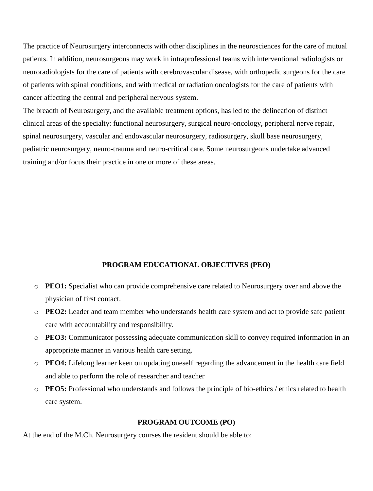The practice of Neurosurgery interconnects with other disciplines in the neurosciences for the care of mutual patients. In addition, neurosurgeons may work in intraprofessional teams with interventional radiologists or neuroradiologists for the care of patients with cerebrovascular disease, with orthopedic surgeons for the care of patients with spinal conditions, and with medical or radiation oncologists for the care of patients with cancer affecting the central and peripheral nervous system.

The breadth of Neurosurgery, and the available treatment options, has led to the delineation of distinct clinical areas of the specialty: functional neurosurgery, surgical neuro-oncology, peripheral nerve repair, spinal neurosurgery, vascular and endovascular neurosurgery, radiosurgery, skull base neurosurgery, pediatric neurosurgery, neuro-trauma and neuro-critical care. Some neurosurgeons undertake advanced training and/or focus their practice in one or more of these areas.

#### **PROGRAM EDUCATIONAL OBJECTIVES (PEO)**

- o **PEO1:** Specialist who can provide comprehensive care related to Neurosurgery over and above the physician of first contact.
- o **PEO2:** Leader and team member who understands health care system and act to provide safe patient care with accountability and responsibility.
- o **PEO3:** Communicator possessing adequate communication skill to convey required information in an appropriate manner in various health care setting.
- o **PEO4:** Lifelong learner keen on updating oneself regarding the advancement in the health care field and able to perform the role of researcher and teacher
- o **PEO5:** Professional who understands and follows the principle of bio-ethics / ethics related to health care system.

#### **PROGRAM OUTCOME (PO)**

At the end of the M.Ch. Neurosurgery courses the resident should be able to: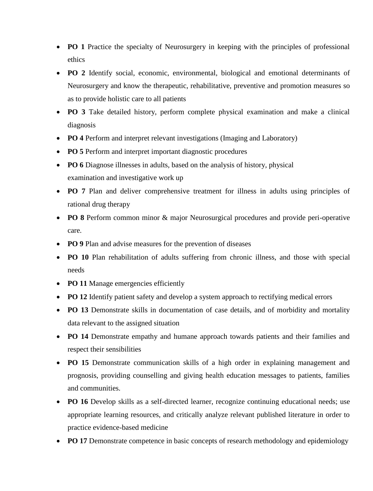- **PO 1** Practice the specialty of Neurosurgery in keeping with the principles of professional ethics
- **PO 2** Identify social, economic, environmental, biological and emotional determinants of Neurosurgery and know the therapeutic, rehabilitative, preventive and promotion measures so as to provide holistic care to all patients
- **PO 3** Take detailed history, perform complete physical examination and make a clinical diagnosis
- **PO 4** Perform and interpret relevant investigations (Imaging and Laboratory)
- **PO 5** Perform and interpret important diagnostic procedures
- **PO 6** Diagnose illnesses in adults, based on the analysis of history, physical examination and investigative work up
- **PO 7** Plan and deliver comprehensive treatment for illness in adults using principles of rational drug therapy
- **PO 8** Perform common minor & major Neurosurgical procedures and provide peri-operative care.
- **PO 9** Plan and advise measures for the prevention of diseases
- PO 10 Plan rehabilitation of adults suffering from chronic illness, and those with special needs
- **PO 11** Manage emergencies efficiently
- **PO 12** Identify patient safety and develop a system approach to rectifying medical errors
- **PO 13** Demonstrate skills in documentation of case details, and of morbidity and mortality data relevant to the assigned situation
- **PO 14** Demonstrate empathy and humane approach towards patients and their families and respect their sensibilities
- **PO 15** Demonstrate communication skills of a high order in explaining management and prognosis, providing counselling and giving health education messages to patients, families and communities.
- **PO 16** Develop skills as a self-directed learner, recognize continuing educational needs; use appropriate learning resources, and critically analyze relevant published literature in order to practice evidence-based medicine
- **PO 17** Demonstrate competence in basic concepts of research methodology and epidemiology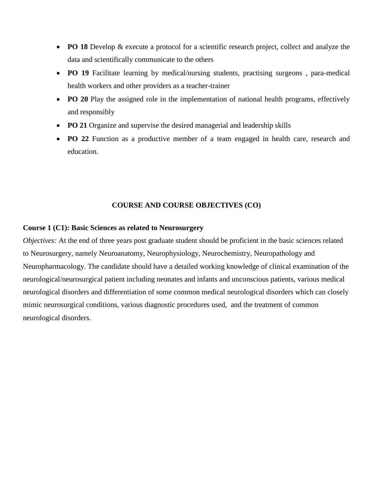- **PO 18** Develop & execute a protocol for a scientific research project, collect and analyze the data and scientifically communicate to the others
- **PO 19** Facilitate learning by medical/nursing students, practising surgeons , para-medical health workers and other providers as a teacher-trainer
- **PO 20** Play the assigned role in the implementation of national health programs, effectively and responsibly
- **PO 21** Organize and supervise the desired managerial and leadership skills
- **PO 22** Function as a productive member of a team engaged in health care, research and education.

#### **COURSE AND COURSE OBJECTIVES (CO)**

#### **Course 1 (C1): Basic Sciences as related to Neurosurgery**

*Objectives:* At the end of three years post graduate student should be proficient in the basic sciences related to Neurosurgery, namely Neuroanatomy, Neurophysiology, Neurochemistry, Neuropathology and Neuropharmacology. The candidate should have a detailed working knowledge of clinical examination of the neurological/neurosurgical patient including neonates and infants and unconscious patients, various medical neurological disorders and differentiation of some common medical neurological disorders which can closely mimic neurosurgical conditions, various diagnostic procedures used, and the treatment of common neurological disorders.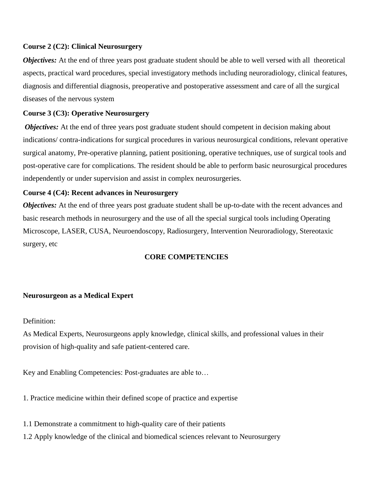#### **Course 2 (C2): Clinical Neurosurgery**

*Objectives:* At the end of three years post graduate student should be able to well versed with all theoretical aspects, practical ward procedures, special investigatory methods including neuroradiology, clinical features, diagnosis and differential diagnosis, preoperative and postoperative assessment and care of all the surgical diseases of the nervous system

#### **Course 3 (C3): Operative Neurosurgery**

*Objectives:* At the end of three years post graduate student should competent in decision making about indications/ contra-indications for surgical procedures in various neurosurgical conditions, relevant operative surgical anatomy, Pre-operative planning, patient positioning, operative techniques, use of surgical tools and post-operative care for complications. The resident should be able to perform basic neurosurgical procedures independently or under supervision and assist in complex neurosurgeries.

#### **Course 4 (C4): Recent advances in Neurosurgery**

*Objectives:* At the end of three years post graduate student shall be up-to-date with the recent advances and basic research methods in neurosurgery and the use of all the special surgical tools including Operating Microscope, LASER, CUSA, Neuroendoscopy, Radiosurgery, Intervention Neuroradiology, Stereotaxic surgery, etc

#### **CORE COMPETENCIES**

#### **Neurosurgeon as a Medical Expert**

Definition:

As Medical Experts, Neurosurgeons apply knowledge, clinical skills, and professional values in their provision of high-quality and safe patient-centered care.

Key and Enabling Competencies: Post-graduates are able to…

1. Practice medicine within their defined scope of practice and expertise

1.1 Demonstrate a commitment to high-quality care of their patients

1.2 Apply knowledge of the clinical and biomedical sciences relevant to Neurosurgery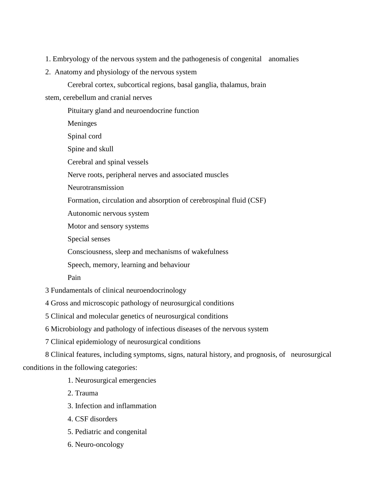- 1. Embryology of the nervous system and the pathogenesis of congenital anomalies
- 2. Anatomy and physiology of the nervous system

Cerebral cortex, subcortical regions, basal ganglia, thalamus, brain

stem, cerebellum and cranial nerves

Pituitary gland and neuroendocrine function Meninges Spinal cord Spine and skull Cerebral and spinal vessels Nerve roots, peripheral nerves and associated muscles Neurotransmission Formation, circulation and absorption of cerebrospinal fluid (CSF) Autonomic nervous system Motor and sensory systems Special senses Consciousness, sleep and mechanisms of wakefulness

Speech, memory, learning and behaviour

Pain

3 Fundamentals of clinical neuroendocrinology

4 Gross and microscopic pathology of neurosurgical conditions

5 Clinical and molecular genetics of neurosurgical conditions

6 Microbiology and pathology of infectious diseases of the nervous system

7 Clinical epidemiology of neurosurgical conditions

8 Clinical features, including symptoms, signs, natural history, and prognosis, of neurosurgical conditions in the following categories:

1. Neurosurgical emergencies

2. Trauma

- 3. Infection and inflammation
- 4. CSF disorders
- 5. Pediatric and congenital
- 6. Neuro-oncology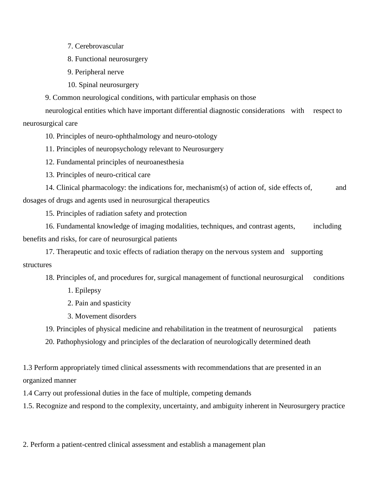7. Cerebrovascular

8. Functional neurosurgery

9. Peripheral nerve

10. Spinal neurosurgery

9. Common neurological conditions, with particular emphasis on those

neurological entities which have important differential diagnostic considerations with respect to neurosurgical care

10. Principles of neuro-ophthalmology and neuro-otology

11. Principles of neuropsychology relevant to Neurosurgery

12. Fundamental principles of neuroanesthesia

13. Principles of neuro-critical care

14. Clinical pharmacology: the indications for, mechanism(s) of action of, side effects of, and dosages of drugs and agents used in neurosurgical therapeutics

15. Principles of radiation safety and protection

16. Fundamental knowledge of imaging modalities, techniques, and contrast agents, including benefits and risks, for care of neurosurgical patients

17. Therapeutic and toxic effects of radiation therapy on the nervous system and supporting structures

18. Principles of, and procedures for, surgical management of functional neurosurgical conditions

1. Epilepsy

2. Pain and spasticity

3. Movement disorders

19. Principles of physical medicine and rehabilitation in the treatment of neurosurgical patients

20. Pathophysiology and principles of the declaration of neurologically determined death

1.3 Perform appropriately timed clinical assessments with recommendations that are presented in an organized manner

1.4 Carry out professional duties in the face of multiple, competing demands

1.5. Recognize and respond to the complexity, uncertainty, and ambiguity inherent in Neurosurgery practice

2. Perform a patient-centred clinical assessment and establish a management plan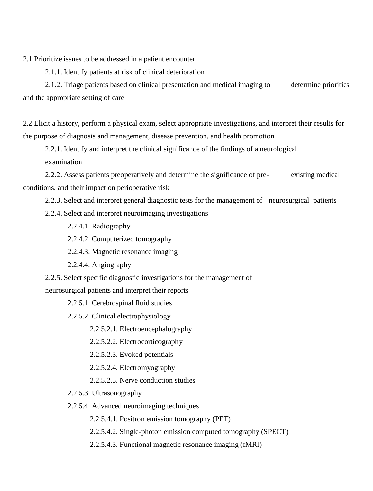2.1 Prioritize issues to be addressed in a patient encounter

2.1.1. Identify patients at risk of clinical deterioration

2.1.2. Triage patients based on clinical presentation and medical imaging to determine priorities and the appropriate setting of care

2.2 Elicit a history, perform a physical exam, select appropriate investigations, and interpret their results for the purpose of diagnosis and management, disease prevention, and health promotion

2.2.1. Identify and interpret the clinical significance of the findings of a neurological examination

2.2.2. Assess patients preoperatively and determine the significance of pre- existing medical conditions, and their impact on perioperative risk

2.2.3. Select and interpret general diagnostic tests for the management of neurosurgical patients

- 2.2.4. Select and interpret neuroimaging investigations
	- 2.2.4.1. Radiography
	- 2.2.4.2. Computerized tomography
	- 2.2.4.3. Magnetic resonance imaging
	- 2.2.4.4. Angiography
- 2.2.5. Select specific diagnostic investigations for the management of

neurosurgical patients and interpret their reports

2.2.5.1. Cerebrospinal fluid studies

2.2.5.2. Clinical electrophysiology

2.2.5.2.1. Electroencephalography

2.2.5.2.2. Electrocorticography

2.2.5.2.3. Evoked potentials

2.2.5.2.4. Electromyography

2.2.5.2.5. Nerve conduction studies

- 2.2.5.3. Ultrasonography
- 2.2.5.4. Advanced neuroimaging techniques

2.2.5.4.1. Positron emission tomography (PET)

2.2.5.4.2. Single-photon emission computed tomography (SPECT)

2.2.5.4.3. Functional magnetic resonance imaging (fMRI)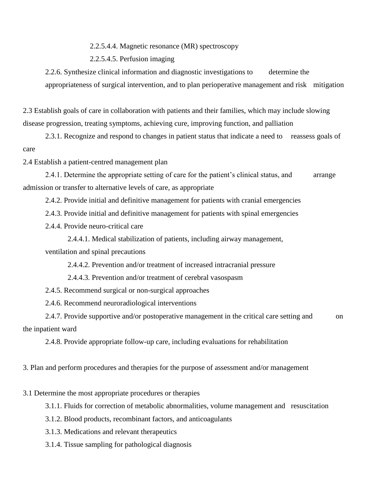2.2.5.4.4. Magnetic resonance (MR) spectroscopy

2.2.5.4.5. Perfusion imaging

2.2.6. Synthesize clinical information and diagnostic investigations to determine the appropriateness of surgical intervention, and to plan perioperative management and risk mitigation

2.3 Establish goals of care in collaboration with patients and their families, which may include slowing disease progression, treating symptoms, achieving cure, improving function, and palliation

2.3.1. Recognize and respond to changes in patient status that indicate a need to reassess goals of care

2.4 Establish a patient-centred management plan

2.4.1. Determine the appropriate setting of care for the patient's clinical status, and arrange admission or transfer to alternative levels of care, as appropriate

2.4.2. Provide initial and definitive management for patients with cranial emergencies

2.4.3. Provide initial and definitive management for patients with spinal emergencies

2.4.4. Provide neuro-critical care

2.4.4.1. Medical stabilization of patients, including airway management, ventilation and spinal precautions

2.4.4.2. Prevention and/or treatment of increased intracranial pressure

2.4.4.3. Prevention and/or treatment of cerebral vasospasm

2.4.5. Recommend surgical or non-surgical approaches

2.4.6. Recommend neuroradiological interventions

2.4.7. Provide supportive and/or postoperative management in the critical care setting and on the inpatient ward

2.4.8. Provide appropriate follow-up care, including evaluations for rehabilitation

3. Plan and perform procedures and therapies for the purpose of assessment and/or management

3.1 Determine the most appropriate procedures or therapies

3.1.1. Fluids for correction of metabolic abnormalities, volume management and resuscitation

3.1.2. Blood products, recombinant factors, and anticoagulants

3.1.3. Medications and relevant therapeutics

3.1.4. Tissue sampling for pathological diagnosis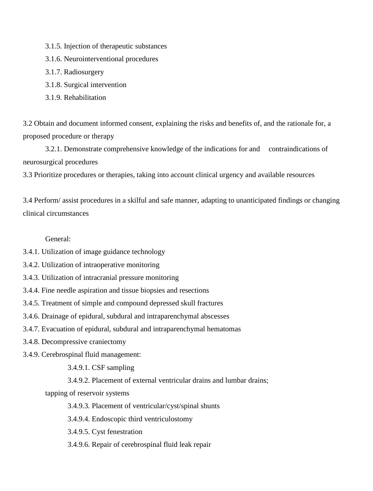- 3.1.5. Injection of therapeutic substances
- 3.1.6. Neurointerventional procedures
- 3.1.7. Radiosurgery
- 3.1.8. Surgical intervention
- 3.1.9. Rehabilitation

3.2 Obtain and document informed consent, explaining the risks and benefits of, and the rationale for, a proposed procedure or therapy

3.2.1. Demonstrate comprehensive knowledge of the indications for and contraindications of neurosurgical procedures

3.3 Prioritize procedures or therapies, taking into account clinical urgency and available resources

3.4 Perform/ assist procedures in a skilful and safe manner, adapting to unanticipated findings or changing clinical circumstances

General:

- 3.4.1. Utilization of image guidance technology
- 3.4.2. Utilization of intraoperative monitoring
- 3.4.3. Utilization of intracranial pressure monitoring
- 3.4.4. Fine needle aspiration and tissue biopsies and resections
- 3.4.5. Treatment of simple and compound depressed skull fractures
- 3.4.6. Drainage of epidural, subdural and intraparenchymal abscesses
- 3.4.7. Evacuation of epidural, subdural and intraparenchymal hematomas
- 3.4.8. Decompressive craniectomy
- 3.4.9. Cerebrospinal fluid management:
	- 3.4.9.1. CSF sampling
	- 3.4.9.2. Placement of external ventricular drains and lumbar drains;
	- tapping of reservoir systems
		- 3.4.9.3. Placement of ventricular/cyst/spinal shunts
		- 3.4.9.4. Endoscopic third ventriculostomy
		- 3.4.9.5. Cyst fenestration
		- 3.4.9.6. Repair of cerebrospinal fluid leak repair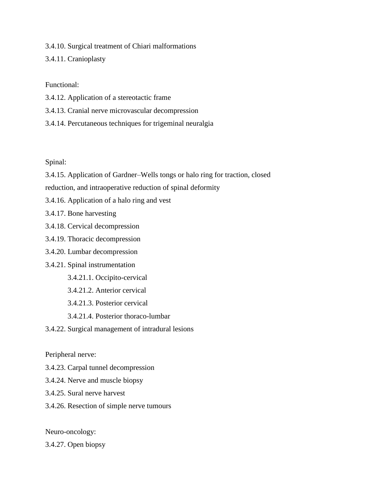3.4.10. Surgical treatment of Chiari malformations 3.4.11. Cranioplasty

Functional:

- 3.4.12. Application of a stereotactic frame
- 3.4.13. Cranial nerve microvascular decompression
- 3.4.14. Percutaneous techniques for trigeminal neuralgia

Spinal:

3.4.15. Application of Gardner–Wells tongs or halo ring for traction, closed

reduction, and intraoperative reduction of spinal deformity

3.4.16. Application of a halo ring and vest

3.4.17. Bone harvesting

- 3.4.18. Cervical decompression
- 3.4.19. Thoracic decompression
- 3.4.20. Lumbar decompression
- 3.4.21. Spinal instrumentation
	- 3.4.21.1. Occipito-cervical
	- 3.4.21.2. Anterior cervical
	- 3.4.21.3. Posterior cervical
	- 3.4.21.4. Posterior thoraco-lumbar
- 3.4.22. Surgical management of intradural lesions

Peripheral nerve:

- 3.4.23. Carpal tunnel decompression
- 3.4.24. Nerve and muscle biopsy
- 3.4.25. Sural nerve harvest
- 3.4.26. Resection of simple nerve tumours

Neuro-oncology:

3.4.27. Open biopsy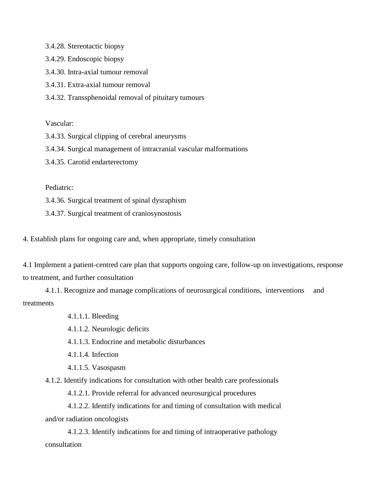3.4.28. Stereotactic biopsy

3.4.29. Endoscopic biopsy

3.4.30. Intra-axial tumour removal

3.4.31. Extra-axial tumour removal

3.4.32. Transsphenoidal removal of pituitary tumours

Vascular:

3.4.33. Surgical clipping of cerebral aneurysms

3.4.34. Surgical management of intracranial vascular malformations

3.4.35. Carotid endarterectomy

Pediatric:

3.4.36. Surgical treatment of spinal dysraphism

3.4.37. Surgical treatment of craniosynostosis

4. Establish plans for ongoing care and, when appropriate, timely consultation

4.1 Implement a patient-centred care plan that supports ongoing care, follow-up on investigations, response to treatment, and further consultation

4.1.1. Recognize and manage complications of neurosurgical conditions, interventions and treatments

4.1.1.1. Bleeding

4.1.1.2. Neurologic deficits

4.1.1.3. Endocrine and metabolic disturbances

4.1.1.4. Infection

4.1.1.5. Vasospasm

4.1.2. Identify indications for consultation with other health care professionals

4.1.2.1. Provide referral for advanced neurosurgical procedures

4.1.2.2. Identify indications for and timing of consultation with medical and/or radiation oncologists

4.1.2.3. Identify indications for and timing of intraoperative pathology consultation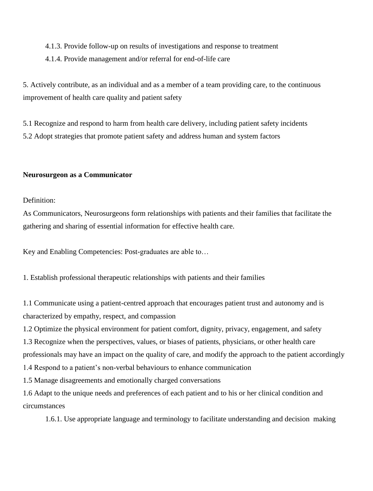#### 4.1.3. Provide follow-up on results of investigations and response to treatment

#### 4.1.4. Provide management and/or referral for end-of-life care

5. Actively contribute, as an individual and as a member of a team providing care, to the continuous improvement of health care quality and patient safety

5.1 Recognize and respond to harm from health care delivery, including patient safety incidents 5.2 Adopt strategies that promote patient safety and address human and system factors

#### **Neurosurgeon as a Communicator**

Definition:

As Communicators, Neurosurgeons form relationships with patients and their families that facilitate the gathering and sharing of essential information for effective health care.

Key and Enabling Competencies: Post-graduates are able to…

1. Establish professional therapeutic relationships with patients and their families

1.1 Communicate using a patient-centred approach that encourages patient trust and autonomy and is characterized by empathy, respect, and compassion

1.2 Optimize the physical environment for patient comfort, dignity, privacy, engagement, and safety

1.3 Recognize when the perspectives, values, or biases of patients, physicians, or other health care

professionals may have an impact on the quality of care, and modify the approach to the patient accordingly

1.4 Respond to a patient's non-verbal behaviours to enhance communication

1.5 Manage disagreements and emotionally charged conversations

1.6 Adapt to the unique needs and preferences of each patient and to his or her clinical condition and circumstances

1.6.1. Use appropriate language and terminology to facilitate understanding and decision making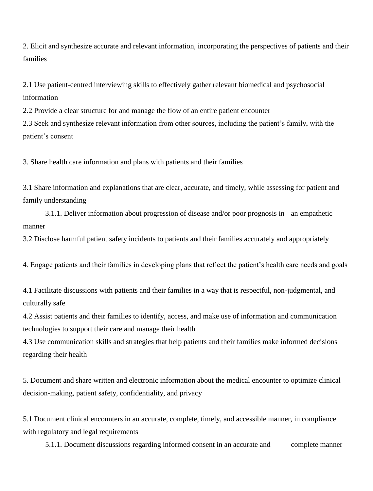2. Elicit and synthesize accurate and relevant information, incorporating the perspectives of patients and their families

2.1 Use patient-centred interviewing skills to effectively gather relevant biomedical and psychosocial information

2.2 Provide a clear structure for and manage the flow of an entire patient encounter

2.3 Seek and synthesize relevant information from other sources, including the patient's family, with the patient's consent

3. Share health care information and plans with patients and their families

3.1 Share information and explanations that are clear, accurate, and timely, while assessing for patient and family understanding

3.1.1. Deliver information about progression of disease and/or poor prognosis in an empathetic manner

3.2 Disclose harmful patient safety incidents to patients and their families accurately and appropriately

4. Engage patients and their families in developing plans that reflect the patient's health care needs and goals

4.1 Facilitate discussions with patients and their families in a way that is respectful, non-judgmental, and culturally safe

4.2 Assist patients and their families to identify, access, and make use of information and communication technologies to support their care and manage their health

4.3 Use communication skills and strategies that help patients and their families make informed decisions regarding their health

5. Document and share written and electronic information about the medical encounter to optimize clinical decision-making, patient safety, confidentiality, and privacy

5.1 Document clinical encounters in an accurate, complete, timely, and accessible manner, in compliance with regulatory and legal requirements

5.1.1. Document discussions regarding informed consent in an accurate and complete manner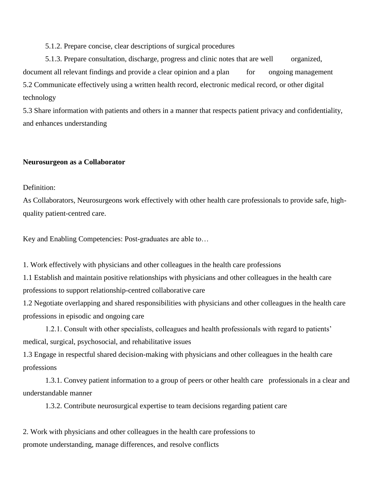5.1.2. Prepare concise, clear descriptions of surgical procedures

5.1.3. Prepare consultation, discharge, progress and clinic notes that are well organized, document all relevant findings and provide a clear opinion and a plan for ongoing management 5.2 Communicate effectively using a written health record, electronic medical record, or other digital technology

5.3 Share information with patients and others in a manner that respects patient privacy and confidentiality, and enhances understanding

#### **Neurosurgeon as a Collaborator**

#### Definition:

As Collaborators, Neurosurgeons work effectively with other health care professionals to provide safe, highquality patient-centred care.

Key and Enabling Competencies: Post-graduates are able to…

1. Work effectively with physicians and other colleagues in the health care professions

1.1 Establish and maintain positive relationships with physicians and other colleagues in the health care professions to support relationship-centred collaborative care

1.2 Negotiate overlapping and shared responsibilities with physicians and other colleagues in the health care professions in episodic and ongoing care

1.2.1. Consult with other specialists, colleagues and health professionals with regard to patients' medical, surgical, psychosocial, and rehabilitative issues

1.3 Engage in respectful shared decision-making with physicians and other colleagues in the health care professions

1.3.1. Convey patient information to a group of peers or other health care professionals in a clear and understandable manner

1.3.2. Contribute neurosurgical expertise to team decisions regarding patient care

2. Work with physicians and other colleagues in the health care professions to promote understanding, manage differences, and resolve conflicts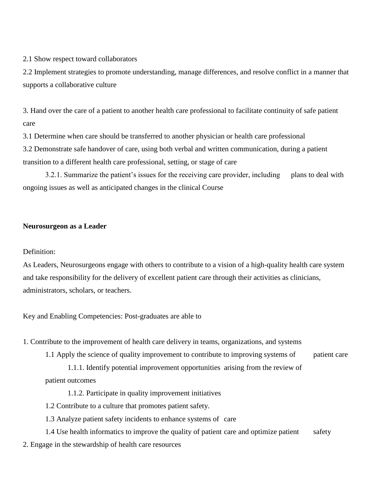2.1 Show respect toward collaborators

2.2 Implement strategies to promote understanding, manage differences, and resolve conflict in a manner that supports a collaborative culture

3. Hand over the care of a patient to another health care professional to facilitate continuity of safe patient care

3.1 Determine when care should be transferred to another physician or health care professional 3.2 Demonstrate safe handover of care, using both verbal and written communication, during a patient transition to a different health care professional, setting, or stage of care

3.2.1. Summarize the patient's issues for the receiving care provider, including plans to deal with ongoing issues as well as anticipated changes in the clinical Course

#### **Neurosurgeon as a Leader**

#### Definition:

As Leaders, Neurosurgeons engage with others to contribute to a vision of a high-quality health care system and take responsibility for the delivery of excellent patient care through their activities as clinicians, administrators, scholars, or teachers.

Key and Enabling Competencies: Post-graduates are able to

1. Contribute to the improvement of health care delivery in teams, organizations, and systems

1.1 Apply the science of quality improvement to contribute to improving systems of patient care

1.1.1. Identify potential improvement opportunities arising from the review of patient outcomes

1.1.2. Participate in quality improvement initiatives

1.2 Contribute to a culture that promotes patient safety.

1.3 Analyze patient safety incidents to enhance systems of care

- 1.4 Use health informatics to improve the quality of patient care and optimize patient safety
- 2. Engage in the stewardship of health care resources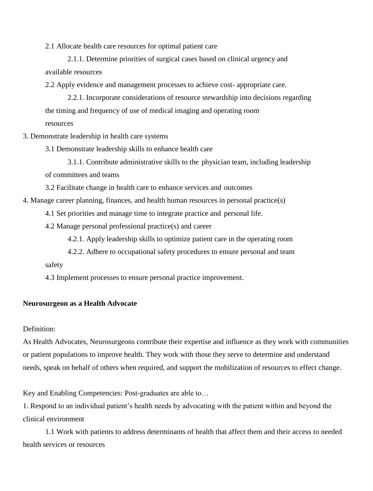2.1 Allocate health care resources for optimal patient care

2.1.1. Determine priorities of surgical cases based on clinical urgency and available resources

2.2 Apply evidence and management processes to achieve cost- appropriate care.

2.2.1. Incorporate considerations of resource stewardship into decisions regarding the timing and frequency of use of medical imaging and operating room resources

3. Demonstrate leadership in health care systems

3.1 Demonstrate leadership skills to enhance health care

3.1.1. Contribute administrative skills to the physician team, including leadership of committees and teams

3.2 Facilitate change in health care to enhance services and outcomes

4. Manage career planning, finances, and health human resources in personal practice(s)

4.1 Set priorities and manage time to integrate practice and personal life.

4.2 Manage personal professional practice(s) and career

4.2.1. Apply leadership skills to optimize patient care in the operating room

4.2.2. Adhere to occupational safety procedures to ensure personal and team

safety

4.3 Implement processes to ensure personal practice improvement.

#### **Neurosurgeon as a Health Advocate**

Definition:

As Health Advocates, Neurosurgeons contribute their expertise and influence as they work with communities or patient populations to improve health. They work with those they serve to determine and understand needs, speak on behalf of others when required, and support the mobilization of resources to effect change.

Key and Enabling Competencies: Post-graduates are able to…

1. Respond to an individual patient's health needs by advocating with the patient within and beyond the clinical environment

1.1 Work with patients to address determinants of health that affect them and their access to needed health services or resources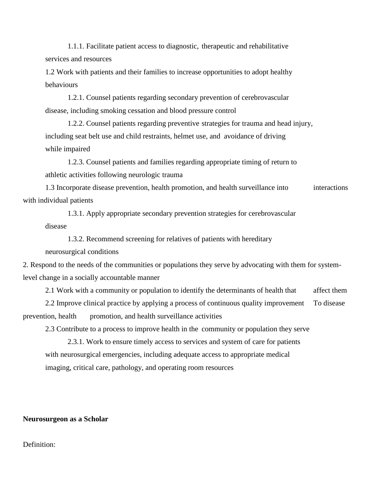1.1.1. Facilitate patient access to diagnostic, therapeutic and rehabilitative services and resources

1.2 Work with patients and their families to increase opportunities to adopt healthy behaviours

1.2.1. Counsel patients regarding secondary prevention of cerebrovascular disease, including smoking cessation and blood pressure control

1.2.2. Counsel patients regarding preventive strategies for trauma and head injury, including seat belt use and child restraints, helmet use, and avoidance of driving while impaired

1.2.3. Counsel patients and families regarding appropriate timing of return to athletic activities following neurologic trauma

1.3 Incorporate disease prevention, health promotion, and health surveillance into interactions with individual patients

1.3.1. Apply appropriate secondary prevention strategies for cerebrovascular disease

1.3.2. Recommend screening for relatives of patients with hereditary neurosurgical conditions

2. Respond to the needs of the communities or populations they serve by advocating with them for systemlevel change in a socially accountable manner

2.1 Work with a community or population to identify the determinants of health that affect them

2.2 Improve clinical practice by applying a process of continuous quality improvement To disease prevention, health promotion, and health surveillance activities

2.3 Contribute to a process to improve health in the community or population they serve

2.3.1. Work to ensure timely access to services and system of care for patients with neurosurgical emergencies, including adequate access to appropriate medical imaging, critical care, pathology, and operating room resources

#### **Neurosurgeon as a Scholar**

#### Definition: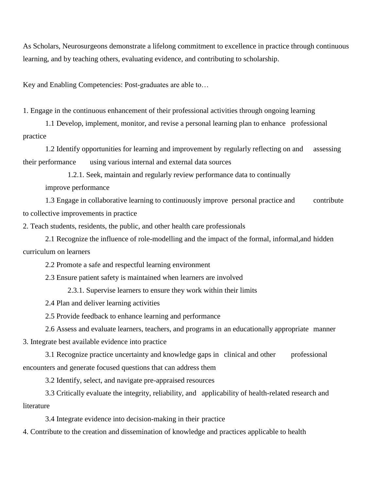As Scholars, Neurosurgeons demonstrate a lifelong commitment to excellence in practice through continuous learning, and by teaching others, evaluating evidence, and contributing to scholarship.

Key and Enabling Competencies: Post-graduates are able to…

1. Engage in the continuous enhancement of their professional activities through ongoing learning

1.1 Develop, implement, monitor, and revise a personal learning plan to enhance professional practice

1.2 Identify opportunities for learning and improvement by regularly reflecting on and assessing their performance using various internal and external data sources

1.2.1. Seek, maintain and regularly review performance data to continually

improve performance

1.3 Engage in collaborative learning to continuously improve personal practice and contribute to collective improvements in practice

2. Teach students, residents, the public, and other health care professionals

2.1 Recognize the influence of role-modelling and the impact of the formal, informal,and hidden curriculum on learners

2.2 Promote a safe and respectful learning environment

2.3 Ensure patient safety is maintained when learners are involved

2.3.1. Supervise learners to ensure they work within their limits

2.4 Plan and deliver learning activities

2.5 Provide feedback to enhance learning and performance

2.6 Assess and evaluate learners, teachers, and programs in an educationally appropriate manner 3. Integrate best available evidence into practice

3.1 Recognize practice uncertainty and knowledge gaps in clinical and other professional encounters and generate focused questions that can address them

3.2 Identify, select, and navigate pre-appraised resources

3.3 Critically evaluate the integrity, reliability, and applicability of health-related research and literature

3.4 Integrate evidence into decision-making in their practice

4. Contribute to the creation and dissemination of knowledge and practices applicable to health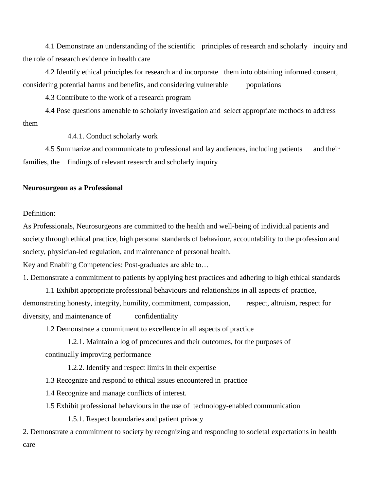4.1 Demonstrate an understanding of the scientific principles of research and scholarly inquiry and the role of research evidence in health care

4.2 Identify ethical principles for research and incorporate them into obtaining informed consent, considering potential harms and benefits, and considering vulnerable populations

4.3 Contribute to the work of a research program

4.4 Pose questions amenable to scholarly investigation and select appropriate methods to address them

4.4.1. Conduct scholarly work

4.5 Summarize and communicate to professional and lay audiences, including patients and their families, the findings of relevant research and scholarly inquiry

#### **Neurosurgeon as a Professional**

#### Definition:

As Professionals, Neurosurgeons are committed to the health and well-being of individual patients and society through ethical practice, high personal standards of behaviour, accountability to the profession and society, physician-led regulation, and maintenance of personal health.

Key and Enabling Competencies: Post-graduates are able to…

1. Demonstrate a commitment to patients by applying best practices and adhering to high ethical standards

1.1 Exhibit appropriate professional behaviours and relationships in all aspects of practice, demonstrating honesty, integrity, humility, commitment, compassion, respect, altruism, respect for diversity, and maintenance of confidentiality

1.2 Demonstrate a commitment to excellence in all aspects of practice

1.2.1. Maintain a log of procedures and their outcomes, for the purposes of continually improving performance

1.2.2. Identify and respect limits in their expertise

1.3 Recognize and respond to ethical issues encountered in practice

1.4 Recognize and manage conflicts of interest.

1.5 Exhibit professional behaviours in the use of technology-enabled communication

1.5.1. Respect boundaries and patient privacy

2. Demonstrate a commitment to society by recognizing and responding to societal expectations in health care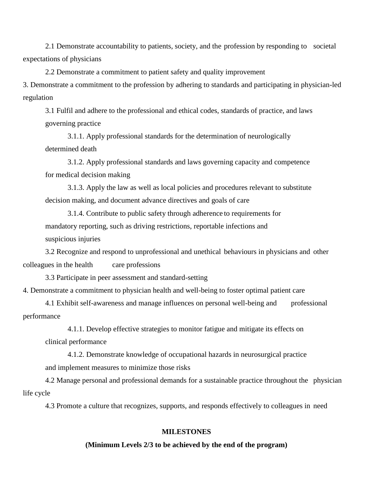2.1 Demonstrate accountability to patients, society, and the profession by responding to societal expectations of physicians

2.2 Demonstrate a commitment to patient safety and quality improvement

3. Demonstrate a commitment to the profession by adhering to standards and participating in physician-led regulation

3.1 Fulfil and adhere to the professional and ethical codes, standards of practice, and laws governing practice

3.1.1. Apply professional standards for the determination of neurologically determined death

3.1.2. Apply professional standards and laws governing capacity and competence for medical decision making

3.1.3. Apply the law as well as local policies and procedures relevant to substitute decision making, and document advance directives and goals of care

3.1.4. Contribute to public safety through adherence to requirements for mandatory reporting, such as driving restrictions, reportable infections and suspicious injuries

3.2 Recognize and respond to unprofessional and unethical behaviours in physicians and other colleagues in the health care professions

3.3 Participate in peer assessment and standard-setting

4. Demonstrate a commitment to physician health and well-being to foster optimal patient care

4.1 Exhibit self-awareness and manage influences on personal well-being and professional performance

4.1.1. Develop effective strategies to monitor fatigue and mitigate its effects on

clinical performance

4.1.2. Demonstrate knowledge of occupational hazards in neurosurgical practice and implement measures to minimize those risks

4.2 Manage personal and professional demands for a sustainable practice throughout the physician life cycle

4.3 Promote a culture that recognizes, supports, and responds effectively to colleagues in need

#### **MILESTONES**

#### **(Minimum Levels 2/3 to be achieved by the end of the program)**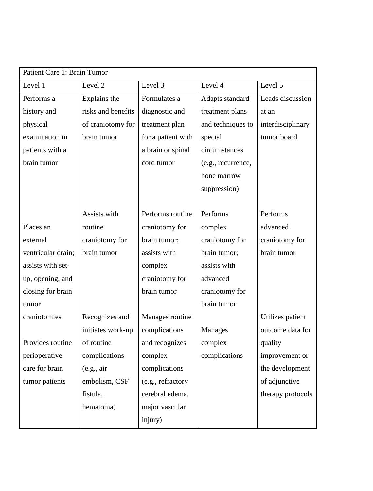| Patient Care 1: Brain Tumor |                    |                    |                    |                   |  |
|-----------------------------|--------------------|--------------------|--------------------|-------------------|--|
| Level 1                     | Level 2            | Level 3            | Level 4            | Level 5           |  |
| Performs a                  | Explains the       | Formulates a       | Adapts standard    | Leads discussion  |  |
| history and                 | risks and benefits | diagnostic and     | treatment plans    | at an             |  |
| physical                    | of craniotomy for  | treatment plan     | and techniques to  | interdisciplinary |  |
| examination in              | brain tumor        | for a patient with | special            | tumor board       |  |
| patients with a             |                    | a brain or spinal  | circumstances      |                   |  |
| brain tumor                 |                    | cord tumor         | (e.g., recurrence, |                   |  |
|                             |                    |                    | bone marrow        |                   |  |
|                             |                    |                    | suppression)       |                   |  |
|                             |                    |                    |                    |                   |  |
|                             | Assists with       | Performs routine   | Performs           | Performs          |  |
| Places an                   | routine            | craniotomy for     | complex            | advanced          |  |
| external                    | craniotomy for     | brain tumor;       | craniotomy for     | craniotomy for    |  |
| ventricular drain;          | brain tumor        | assists with       | brain tumor;       | brain tumor       |  |
| assists with set-           |                    | complex            | assists with       |                   |  |
| up, opening, and            |                    | craniotomy for     | advanced           |                   |  |
| closing for brain           |                    | brain tumor        | craniotomy for     |                   |  |
| tumor                       |                    |                    | brain tumor        |                   |  |
| craniotomies                | Recognizes and     | Manages routine    |                    | Utilizes patient  |  |
|                             | initiates work-up  | complications      | Manages            | outcome data for  |  |
| Provides routine            | of routine         | and recognizes     | complex            | quality           |  |
| perioperative               | complications      | complex            | complications      | improvement or    |  |
| care for brain              | (e.g., air)        | complications      |                    | the development   |  |
| tumor patients              | embolism, CSF      | (e.g., refractory  |                    | of adjunctive     |  |
|                             | fistula,           | cerebral edema,    |                    | therapy protocols |  |
|                             | hematoma)          | major vascular     |                    |                   |  |
|                             |                    | injury)            |                    |                   |  |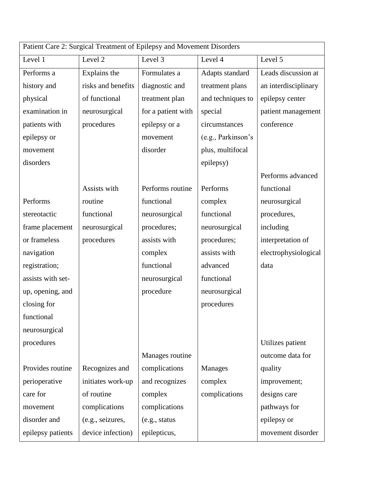| Patient Care 2: Surgical Treatment of Epilepsy and Movement Disorders |                    |                    |                    |                      |
|-----------------------------------------------------------------------|--------------------|--------------------|--------------------|----------------------|
| Level 1                                                               | Level 2            | Level 3            | Level 4            | Level 5              |
| Performs a                                                            | Explains the       | Formulates a       | Adapts standard    | Leads discussion at  |
| history and                                                           | risks and benefits | diagnostic and     | treatment plans    | an interdisciplinary |
| physical                                                              | of functional      | treatment plan     | and techniques to  | epilepsy center      |
| examination in                                                        | neurosurgical      | for a patient with | special            | patient management   |
| patients with                                                         | procedures         | epilepsy or a      | circumstances      | conference           |
| epilepsy or                                                           |                    | movement           | (e.g., Parkinson's |                      |
| movement                                                              |                    | disorder           | plus, multifocal   |                      |
| disorders                                                             |                    |                    | epilepsy)          |                      |
|                                                                       |                    |                    |                    | Performs advanced    |
|                                                                       | Assists with       | Performs routine   | Performs           | functional           |
| Performs                                                              | routine            | functional         | complex            | neurosurgical        |
| stereotactic                                                          | functional         | neurosurgical      | functional         | procedures,          |
| frame placement                                                       | neurosurgical      | procedures;        | neurosurgical      | including            |
| or frameless                                                          | procedures         | assists with       | procedures;        | interpretation of    |
| navigation                                                            |                    | complex            | assists with       | electrophysiological |
| registration;                                                         |                    | functional         | advanced           | data                 |
| assists with set-                                                     |                    | neurosurgical      | functional         |                      |
| up, opening, and                                                      |                    | procedure          | neurosurgical      |                      |
| closing for                                                           |                    |                    | procedures         |                      |
| functional                                                            |                    |                    |                    |                      |
| neurosurgical                                                         |                    |                    |                    |                      |
| procedures                                                            |                    |                    |                    | Utilizes patient     |
|                                                                       |                    | Manages routine    |                    | outcome data for     |
| Provides routine                                                      | Recognizes and     | complications      | <b>Manages</b>     | quality              |
| perioperative                                                         | initiates work-up  | and recognizes     | complex            | improvement;         |
| care for                                                              | of routine         | complex            | complications      | designs care         |
| movement                                                              | complications      | complications      |                    | pathways for         |
| disorder and                                                          | (e.g., seizures,   | (e.g., status      |                    | epilepsy or          |
| epilepsy patients                                                     | device infection)  | epilepticus,       |                    | movement disorder    |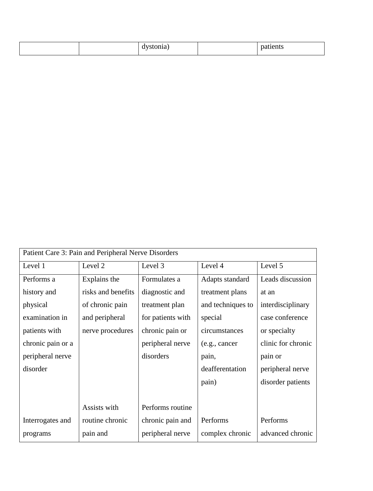|  |  | $-$ |  | . |
|--|--|-----|--|---|
|--|--|-----|--|---|

| Patient Care 3: Pain and Peripheral Nerve Disorders |                    |                   |                   |                    |  |
|-----------------------------------------------------|--------------------|-------------------|-------------------|--------------------|--|
| Level 1                                             | Level 2            | Level 3           | Level 4           | Level 5            |  |
| Performs a                                          | Explains the       | Formulates a      | Adapts standard   | Leads discussion   |  |
| history and                                         | risks and benefits | diagnostic and    | treatment plans   | at an              |  |
| physical                                            | of chronic pain    | treatment plan    | and techniques to | interdisciplinary  |  |
| examination in                                      | and peripheral     | for patients with | special           | case conference    |  |
| patients with                                       | nerve procedures   | chronic pain or   | circumstances     | or specialty       |  |
| chronic pain or a                                   |                    | peripheral nerve  | (e.g., cancer     | clinic for chronic |  |
| peripheral nerve                                    |                    | disorders         | pain,             | pain or            |  |
| disorder                                            |                    |                   | deafferentation   | peripheral nerve   |  |
|                                                     |                    |                   | pain)             | disorder patients  |  |
|                                                     |                    |                   |                   |                    |  |
|                                                     | Assists with       | Performs routine  |                   |                    |  |
| Interrogates and                                    | routine chronic    | chronic pain and  | Performs          | Performs           |  |
| programs                                            | pain and           | peripheral nerve  | complex chronic   | advanced chronic   |  |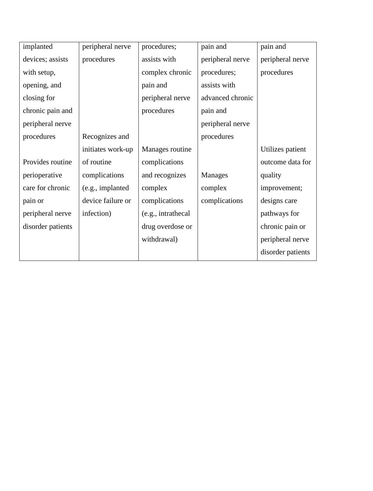| implanted         | peripheral nerve  | procedures;        | pain and         | pain and          |
|-------------------|-------------------|--------------------|------------------|-------------------|
| devices; assists  | procedures        | assists with       | peripheral nerve | peripheral nerve  |
| with setup,       |                   | complex chronic    | procedures;      | procedures        |
| opening, and      |                   | pain and           | assists with     |                   |
| closing for       |                   | peripheral nerve   | advanced chronic |                   |
| chronic pain and  |                   | procedures         | pain and         |                   |
| peripheral nerve  |                   |                    | peripheral nerve |                   |
| procedures        | Recognizes and    |                    | procedures       |                   |
|                   | initiates work-up | Manages routine    |                  | Utilizes patient  |
| Provides routine  | of routine        | complications      |                  | outcome data for  |
| perioperative     | complications     | and recognizes     | <b>Manages</b>   | quality           |
| care for chronic  | (e.g., implanted  | complex            | complex          | improvement;      |
| pain or           | device failure or | complications      | complications    | designs care      |
| peripheral nerve  | infection)        | (e.g., intrathecal |                  | pathways for      |
| disorder patients |                   | drug overdose or   |                  | chronic pain or   |
|                   |                   | withdrawal)        |                  | peripheral nerve  |
|                   |                   |                    |                  | disorder patients |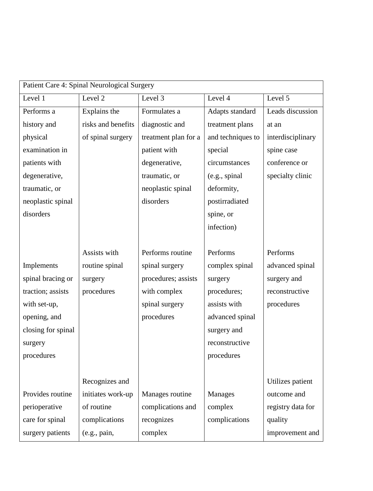|                    | Patient Care 4: Spinal Neurological Surgery |                      |                   |                   |  |  |
|--------------------|---------------------------------------------|----------------------|-------------------|-------------------|--|--|
| Level 1            | Level 2                                     | Level 3              | Level 4           | Level 5           |  |  |
| Performs a         | Explains the                                | Formulates a         | Adapts standard   | Leads discussion  |  |  |
| history and        | risks and benefits                          | diagnostic and       | treatment plans   | at an             |  |  |
| physical           | of spinal surgery                           | treatment plan for a | and techniques to | interdisciplinary |  |  |
| examination in     |                                             | patient with         | special           | spine case        |  |  |
| patients with      |                                             | degenerative,        | circumstances     | conference or     |  |  |
| degenerative,      |                                             | traumatic, or        | (e.g., spinal     | specialty clinic  |  |  |
| traumatic, or      |                                             | neoplastic spinal    | deformity,        |                   |  |  |
| neoplastic spinal  |                                             | disorders            | postirradiated    |                   |  |  |
| disorders          |                                             |                      | spine, or         |                   |  |  |
|                    |                                             |                      | infection)        |                   |  |  |
|                    |                                             |                      |                   |                   |  |  |
|                    | Assists with                                | Performs routine     | Performs          | Performs          |  |  |
| Implements         | routine spinal                              | spinal surgery       | complex spinal    | advanced spinal   |  |  |
| spinal bracing or  | surgery                                     | procedures; assists  | surgery           | surgery and       |  |  |
| traction; assists  | procedures                                  | with complex         | procedures;       | reconstructive    |  |  |
| with set-up,       |                                             | spinal surgery       | assists with      | procedures        |  |  |
| opening, and       |                                             | procedures           | advanced spinal   |                   |  |  |
| closing for spinal |                                             |                      | surgery and       |                   |  |  |
| surgery            |                                             |                      | reconstructive    |                   |  |  |
| procedures         |                                             |                      | procedures        |                   |  |  |
|                    |                                             |                      |                   |                   |  |  |
|                    | Recognizes and                              |                      |                   | Utilizes patient  |  |  |
| Provides routine   | initiates work-up                           | Manages routine      | <b>Manages</b>    | outcome and       |  |  |
| perioperative      | of routine                                  | complications and    | complex           | registry data for |  |  |
| care for spinal    | complications                               | recognizes           | complications     | quality           |  |  |
| surgery patients   | (e.g., pain,                                | complex              |                   | improvement and   |  |  |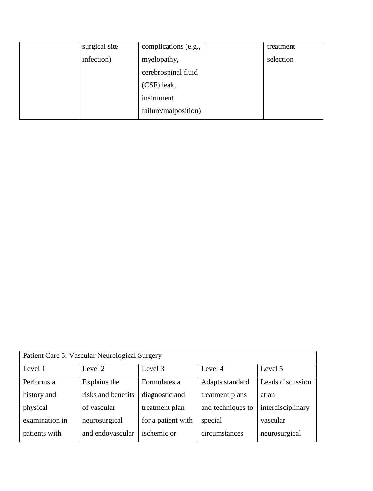| surgical site | complications (e.g., | treatment |
|---------------|----------------------|-----------|
| infection)    | myelopathy,          | selection |
|               | cerebrospinal fluid  |           |
|               | (CSF) leak,          |           |
|               | instrument           |           |
|               | failure/malposition) |           |

| Patient Care 5: Vascular Neurological Surgery |                    |                    |                   |                   |  |
|-----------------------------------------------|--------------------|--------------------|-------------------|-------------------|--|
| Level 1                                       | Level 2            | Level 3            | Level 4           | Level 5           |  |
| Performs a                                    | Explains the       | Formulates a       | Adapts standard   | Leads discussion  |  |
| history and                                   | risks and benefits | diagnostic and     | treatment plans   | at an             |  |
| physical                                      | of vascular        | treatment plan     | and techniques to | interdisciplinary |  |
| examination in                                | neurosurgical      | for a patient with | special           | vascular          |  |
| patients with                                 | and endovascular   | ischemic or        | circumstances     | neurosurgical     |  |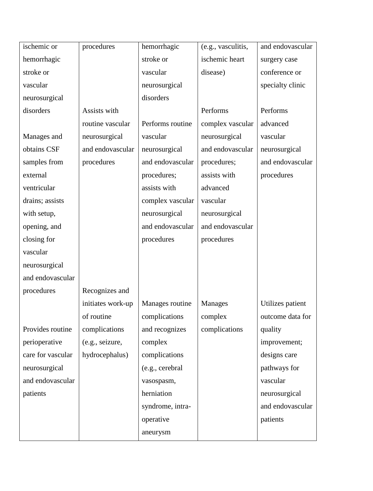| ischemic or       | procedures        | hemorrhagic      | (e.g., vasculitis, | and endovascular |
|-------------------|-------------------|------------------|--------------------|------------------|
| hemorrhagic       |                   | stroke or        | ischemic heart     | surgery case     |
| stroke or         |                   | vascular         | disease)           | conference or    |
| vascular          |                   | neurosurgical    |                    | specialty clinic |
| neurosurgical     |                   | disorders        |                    |                  |
| disorders         | Assists with      |                  | Performs           | Performs         |
|                   | routine vascular  | Performs routine | complex vascular   | advanced         |
| Manages and       | neurosurgical     | vascular         | neurosurgical      | vascular         |
| obtains CSF       | and endovascular  | neurosurgical    | and endovascular   | neurosurgical    |
| samples from      | procedures        | and endovascular | procedures;        | and endovascular |
| external          |                   | procedures;      | assists with       | procedures       |
| ventricular       |                   | assists with     | advanced           |                  |
| drains; assists   |                   | complex vascular | vascular           |                  |
| with setup,       |                   | neurosurgical    | neurosurgical      |                  |
| opening, and      |                   | and endovascular | and endovascular   |                  |
| closing for       |                   | procedures       | procedures         |                  |
| vascular          |                   |                  |                    |                  |
| neurosurgical     |                   |                  |                    |                  |
| and endovascular  |                   |                  |                    |                  |
| procedures        | Recognizes and    |                  |                    |                  |
|                   | initiates work-up | Manages routine  | Manages            | Utilizes patient |
|                   | of routine        | complications    | complex            | outcome data for |
| Provides routine  | complications     | and recognizes   | complications      | quality          |
| perioperative     | (e.g., seizure,   | complex          |                    | improvement;     |
| care for vascular | hydrocephalus)    | complications    |                    | designs care     |
| neurosurgical     |                   | (e.g., cerebral  |                    | pathways for     |
| and endovascular  |                   | vasospasm,       |                    | vascular         |
| patients          |                   | herniation       |                    | neurosurgical    |
|                   |                   | syndrome, intra- |                    | and endovascular |
|                   |                   | operative        |                    | patients         |
|                   |                   | aneurysm         |                    |                  |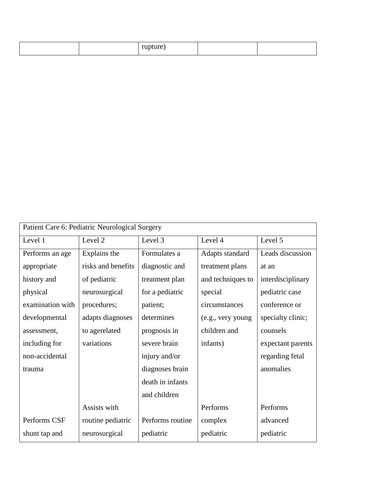| . . | ------ |
|-----|--------|
| - - | ruit   |

| Patient Care 6: Pediatric Neurological Surgery |                    |                  |                   |                   |  |
|------------------------------------------------|--------------------|------------------|-------------------|-------------------|--|
| Level 1                                        | Level 2            | Level 3          | Level 4           | Level 5           |  |
| Performs an age                                | Explains the       | Formulates a     | Adapts standard   | Leads discussion  |  |
| appropriate                                    | risks and benefits | diagnostic and   | treatment plans   | at an             |  |
| history and                                    | of pediatric       | treatment plan   | and techniques to | interdisciplinary |  |
| physical                                       | neurosurgical      | for a pediatric  | special           | pediatric case    |  |
| examination with                               | procedures;        | patient;         | circumstances     | conference or     |  |
| developmental                                  | adapts diagnoses   | determines       | (e.g., very young | specialty clinic; |  |
| assessment,                                    | to agerelated      | prognosis in     | children and      | counsels          |  |
| including for                                  | variations         | severe brain     | infants)          | expectant parents |  |
| non-accidental                                 |                    | injury and/or    |                   | regarding fetal   |  |
| trauma                                         |                    | diagnoses brain  |                   | anomalies         |  |
|                                                |                    | death in infants |                   |                   |  |
|                                                |                    | and children     |                   |                   |  |
|                                                | Assists with       |                  | Performs          | Performs          |  |
| Performs CSF                                   | routine pediatric  | Performs routine | complex           | advanced          |  |
| shunt tap and                                  | neurosurgical      | pediatric        | pediatric         | pediatric         |  |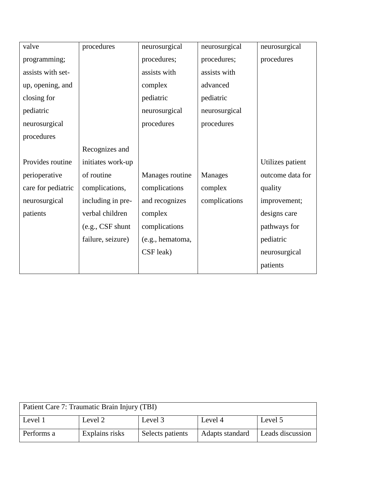| valve              | procedures        | neurosurgical    | neurosurgical  | neurosurgical    |
|--------------------|-------------------|------------------|----------------|------------------|
| programming;       |                   | procedures;      | procedures;    | procedures       |
| assists with set-  |                   | assists with     | assists with   |                  |
| up, opening, and   |                   | complex          | advanced       |                  |
| closing for        |                   | pediatric        | pediatric      |                  |
| pediatric          |                   | neurosurgical    | neurosurgical  |                  |
| neurosurgical      |                   | procedures       | procedures     |                  |
| procedures         |                   |                  |                |                  |
|                    | Recognizes and    |                  |                |                  |
| Provides routine   | initiates work-up |                  |                | Utilizes patient |
| perioperative      | of routine        | Manages routine  | <b>Manages</b> | outcome data for |
| care for pediatric | complications,    | complications    | complex        | quality          |
| neurosurgical      | including in pre- | and recognizes   | complications  | improvement;     |
| patients           | verbal children   | complex          |                | designs care     |
|                    | (e.g., CSF shunt  | complications    |                | pathways for     |
|                    | failure, seizure) | (e.g., hematoma, |                | pediatric        |
|                    |                   | CSF leak)        |                | neurosurgical    |
|                    |                   |                  |                | patients         |

| Patient Care 7: Traumatic Brain Injury (TBI) |                |                  |                 |                  |
|----------------------------------------------|----------------|------------------|-----------------|------------------|
| Level 1                                      | Level 2        | Level 3          | Level 4         | Level 5          |
| Performs a                                   | Explains risks | Selects patients | Adapts standard | Leads discussion |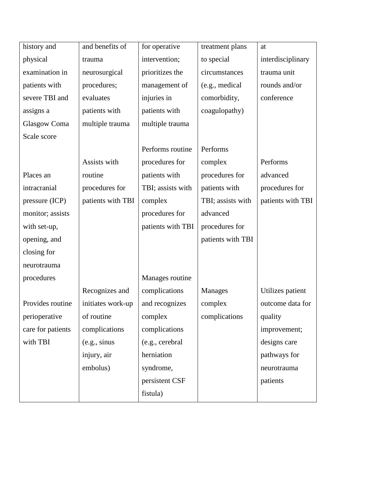| history and         | and benefits of   | for operative     | treatment plans   | at                |
|---------------------|-------------------|-------------------|-------------------|-------------------|
| physical            | trauma            | intervention;     | to special        | interdisciplinary |
| examination in      | neurosurgical     | prioritizes the   | circumstances     | trauma unit       |
| patients with       | procedures;       | management of     | (e.g., medical    | rounds and/or     |
| severe TBI and      | evaluates         | injuries in       | comorbidity,      | conference        |
| assigns a           | patients with     | patients with     | coagulopathy)     |                   |
| <b>Glasgow Coma</b> | multiple trauma   | multiple trauma   |                   |                   |
| Scale score         |                   |                   |                   |                   |
|                     |                   | Performs routine  | Performs          |                   |
|                     | Assists with      | procedures for    | complex           | Performs          |
| Places an           | routine           | patients with     | procedures for    | advanced          |
| intracranial        | procedures for    | TBI; assists with | patients with     | procedures for    |
| pressure (ICP)      | patients with TBI | complex           | TBI; assists with | patients with TBI |
| monitor; assists    |                   | procedures for    | advanced          |                   |
| with set-up,        |                   | patients with TBI | procedures for    |                   |
| opening, and        |                   |                   | patients with TBI |                   |
| closing for         |                   |                   |                   |                   |
| neurotrauma         |                   |                   |                   |                   |
| procedures          |                   | Manages routine   |                   |                   |
|                     | Recognizes and    | complications     | Manages           | Utilizes patient  |
| Provides routine    | initiates work-up | and recognizes    | complex           | outcome data for  |
| perioperative       | of routine        | complex           | complications     | quality           |
| care for patients   | complications     | complications     |                   | improvement;      |
| with TBI            | (e.g., sinus      | (e.g., cerebral   |                   | designs care      |
|                     | injury, air       | herniation        |                   | pathways for      |
|                     | embolus)          | syndrome,         |                   | neurotrauma       |
|                     |                   | persistent CSF    |                   | patients          |
|                     |                   | fistula)          |                   |                   |
|                     |                   |                   |                   |                   |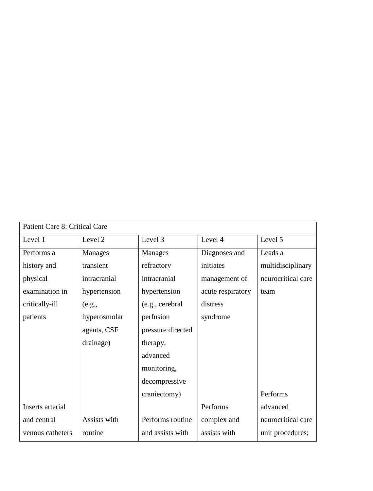| Patient Care 8: Critical Care |                |                   |                   |                    |
|-------------------------------|----------------|-------------------|-------------------|--------------------|
| Level 1                       | Level 2        | Level 3           | Level 4           | Level 5            |
| Performs a                    | <b>Manages</b> | <b>Manages</b>    | Diagnoses and     | Leads a            |
| history and                   | transient      | refractory        | initiates         | multidisciplinary  |
| physical                      | intracranial   | intracranial      | management of     | neurocritical care |
| examination in                | hypertension   | hypertension      | acute respiratory | team               |
| critically-ill                | (e.g.,         | (e.g., cerebral   | distress          |                    |
| patients                      | hyperosmolar   | perfusion         | syndrome          |                    |
|                               | agents, CSF    | pressure directed |                   |                    |
|                               | drainage)      | therapy,          |                   |                    |
|                               |                | advanced          |                   |                    |
|                               |                | monitoring,       |                   |                    |
|                               |                | decompressive     |                   |                    |
|                               |                | craniectomy)      |                   | Performs           |
| Inserts arterial              |                |                   | Performs          | advanced           |
| and central                   | Assists with   | Performs routine  | complex and       | neurocritical care |
| venous catheters              | routine        | and assists with  | assists with      | unit procedures;   |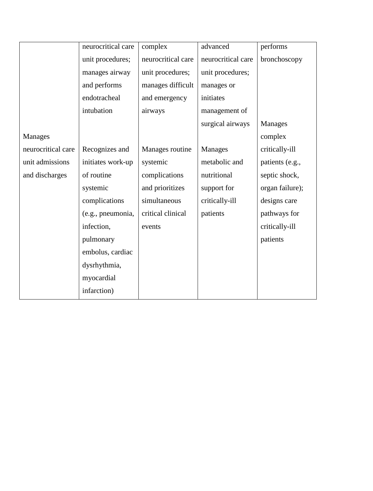|                    | neurocritical care | complex            | advanced           | performs        |
|--------------------|--------------------|--------------------|--------------------|-----------------|
|                    | unit procedures;   | neurocritical care | neurocritical care | bronchoscopy    |
|                    | manages airway     | unit procedures;   | unit procedures;   |                 |
|                    | and performs       | manages difficult  | manages or         |                 |
|                    | endotracheal       | and emergency      | initiates          |                 |
|                    | intubation         | airways            | management of      |                 |
|                    |                    |                    | surgical airways   | <b>Manages</b>  |
| <b>Manages</b>     |                    |                    |                    | complex         |
| neurocritical care | Recognizes and     | Manages routine    | Manages            | critically-ill  |
| unit admissions    | initiates work-up  | systemic           | metabolic and      | patients (e.g., |
| and discharges     | of routine         | complications      | nutritional        | septic shock,   |
|                    | systemic           | and prioritizes    | support for        | organ failure); |
|                    | complications      | simultaneous       | critically-ill     | designs care    |
|                    | (e.g., pneumonia,  | critical clinical  | patients           | pathways for    |
|                    | infection,         | events             |                    | critically-ill  |
|                    | pulmonary          |                    |                    | patients        |
|                    | embolus, cardiac   |                    |                    |                 |
|                    | dysrhythmia,       |                    |                    |                 |
|                    | myocardial         |                    |                    |                 |
|                    | infarction)        |                    |                    |                 |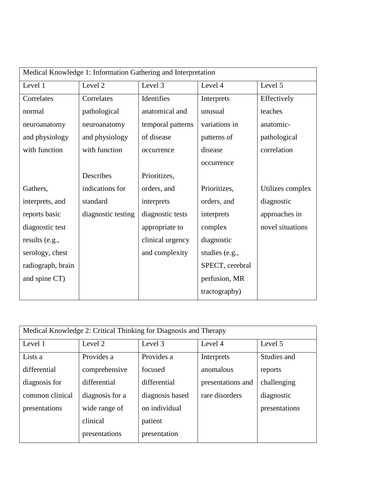| Medical Knowledge 1: Information Gathering and Interpretation |                    |                   |                 |                  |  |
|---------------------------------------------------------------|--------------------|-------------------|-----------------|------------------|--|
| Level 1                                                       | Level 2            | Level 3           | Level 4         | Level 5          |  |
| Correlates                                                    | Correlates         | Identifies        | Interprets      | Effectively      |  |
| normal                                                        | pathological       | anatomical and    | unusual         | teaches          |  |
| neuroanatomy                                                  | neuroanatomy       | temporal patterns | variations in   | anatomic-        |  |
| and physiology                                                | and physiology     | of disease        | patterns of     | pathological     |  |
| with function                                                 | with function      | occurrence        | disease         | correlation      |  |
|                                                               |                    |                   | occurrence      |                  |  |
|                                                               | Describes          | Prioritizes,      |                 |                  |  |
| Gathers,                                                      | indications for    | orders, and       | Prioritizes,    | Utilizes complex |  |
| interprets, and                                               | standard           | interprets        | orders, and     | diagnostic       |  |
| reports basic                                                 | diagnostic testing | diagnostic tests  | interprets      | approaches in    |  |
| diagnostic test                                               |                    | appropriate to    | complex         | novel situations |  |
| results (e.g.,                                                |                    | clinical urgency  | diagnostic      |                  |  |
| serology, chest                                               |                    | and complexity    | studies (e.g.,  |                  |  |
| radiograph, brain                                             |                    |                   | SPECT, cerebral |                  |  |
| and spine CT)                                                 |                    |                   | perfusion, MR   |                  |  |
|                                                               |                    |                   | tractography)   |                  |  |

| Medical Knowledge 2: Critical Thinking for Diagnosis and Therapy |                 |                 |                   |               |  |
|------------------------------------------------------------------|-----------------|-----------------|-------------------|---------------|--|
| Level 1                                                          | Level 2         | Level 3         | Level 4           | Level 5       |  |
| Lists a                                                          | Provides a      | Provides a      | Interprets        | Studies and   |  |
| differential                                                     | comprehensive   | focused         | anomalous         | reports       |  |
| diagnosis for                                                    | differential    | differential    | presentations and | challenging   |  |
| common clinical                                                  | diagnosis for a | diagnosis based | rare disorders    | diagnostic    |  |
| presentations                                                    | wide range of   | on individual   |                   | presentations |  |
|                                                                  | clinical        | patient         |                   |               |  |
|                                                                  | presentations   | presentation    |                   |               |  |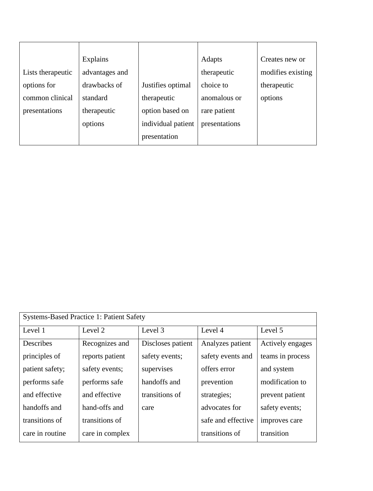|                   | Explains       |                    | Adapts        | Creates new or    |
|-------------------|----------------|--------------------|---------------|-------------------|
| Lists therapeutic | advantages and |                    | therapeutic   | modifies existing |
| options for       | drawbacks of   | Justifies optimal  | choice to     | therapeutic       |
| common clinical   | standard       | therapeutic        | anomalous or  | options           |
| presentations     | therapeutic    | option based on    | rare patient  |                   |
|                   | options        | individual patient | presentations |                   |
|                   |                | presentation       |               |                   |

| <b>Systems-Based Practice 1: Patient Safety</b> |                   |                    |                  |  |  |
|-------------------------------------------------|-------------------|--------------------|------------------|--|--|
| Level 2                                         | Level 3           | Level 4            | Level 5          |  |  |
| Recognizes and                                  | Discloses patient | Analyzes patient   | Actively engages |  |  |
| reports patient                                 | safety events;    | safety events and  | teams in process |  |  |
| safety events;                                  | supervises        | offers error       | and system       |  |  |
| performs safe                                   | handoffs and      | prevention         | modification to  |  |  |
| and effective                                   | transitions of    | strategies;        | prevent patient  |  |  |
| hand-offs and                                   | care              | advocates for      | safety events;   |  |  |
| transitions of                                  |                   | safe and effective | improves care    |  |  |
| care in complex                                 |                   | transitions of     | transition       |  |  |
|                                                 |                   |                    |                  |  |  |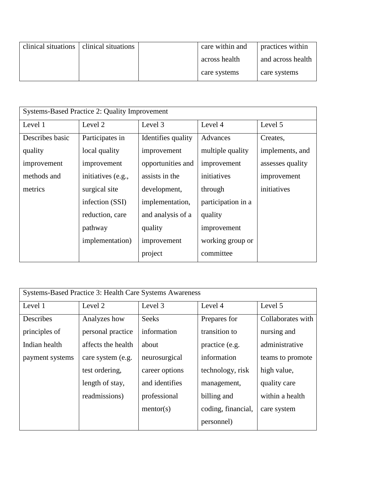|  | clinical situations   clinical situations | care within and | practices within  |
|--|-------------------------------------------|-----------------|-------------------|
|  |                                           | across health   | and across health |
|  |                                           | care systems    | care systems      |

| Systems-Based Practice 2: Quality Improvement |                    |                    |                    |                  |  |
|-----------------------------------------------|--------------------|--------------------|--------------------|------------------|--|
| Level 1                                       | Level 2            | Level 3            | Level 4            | Level 5          |  |
| Describes basic                               | Participates in    | Identifies quality | Advances           | Creates,         |  |
| quality                                       | local quality      | improvement        | multiple quality   | implements, and  |  |
| improvement                                   | improvement        | opportunities and  | improvement        | assesses quality |  |
| methods and                                   | initiatives (e.g., | assists in the     | initiatives        | improvement      |  |
| metrics                                       | surgical site      | development,       | through            | initiatives      |  |
|                                               | infection (SSI)    | implementation,    | participation in a |                  |  |
|                                               | reduction, care    | and analysis of a  | quality            |                  |  |
|                                               | pathway            | quality            | improvement        |                  |  |
|                                               | implementation)    | improvement        | working group or   |                  |  |
|                                               |                    | project            | committee          |                  |  |

| Systems-Based Practice 3: Health Care Systems Awareness |                    |                |                    |                   |  |
|---------------------------------------------------------|--------------------|----------------|--------------------|-------------------|--|
| Level 1                                                 | Level 2            | Level 3        | Level 4            | Level 5           |  |
| Describes                                               | Analyzes how       | <b>Seeks</b>   | Prepares for       | Collaborates with |  |
| principles of                                           | personal practice  | information    | transition to      | nursing and       |  |
| Indian health                                           | affects the health | about          | practice (e.g.     | administrative    |  |
| payment systems                                         | care system (e.g.  | neurosurgical  | information        | teams to promote  |  |
|                                                         | test ordering,     | career options | technology, risk   | high value,       |  |
|                                                         | length of stay,    | and identifies | management,        | quality care      |  |
|                                                         | readmissions)      | professional   | billing and        | within a health   |  |
|                                                         |                    | mentor(s)      | coding, financial, | care system       |  |
|                                                         |                    |                | personnel)         |                   |  |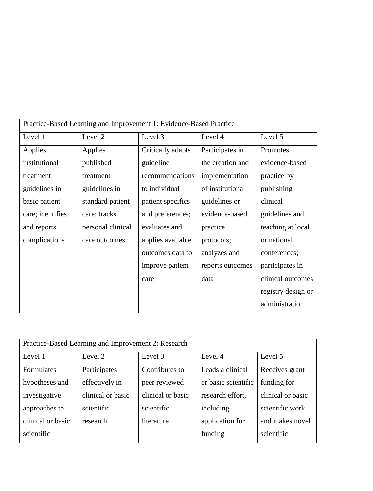| Practice-Based Learning and Improvement 1: Evidence-Based Practice |                   |                   |                  |                    |  |
|--------------------------------------------------------------------|-------------------|-------------------|------------------|--------------------|--|
| Level 1                                                            | Level 2           | Level 3           | Level 4          | Level 5            |  |
| Applies                                                            | Applies           | Critically adapts | Participates in  | Promotes           |  |
| institutional                                                      | published         | guideline         | the creation and | evidence-based     |  |
| treatment                                                          | treatment         | recommendations   | implementation   | practice by        |  |
| guidelines in                                                      | guidelines in     | to individual     | of institutional | publishing         |  |
| basic patient                                                      | standard patient  | patient specifics | guidelines or    | clinical           |  |
| care; identifies                                                   | care; tracks      | and preferences;  | evidence-based   | guidelines and     |  |
| and reports                                                        | personal clinical | evaluates and     | practice         | teaching at local  |  |
| complications                                                      | care outcomes     | applies available | protocols;       | or national        |  |
|                                                                    |                   | outcomes data to  | analyzes and     | conferences;       |  |
|                                                                    |                   | improve patient   | reports outcomes | participates in    |  |
|                                                                    |                   | care              | data             | clinical outcomes  |  |
|                                                                    |                   |                   |                  | registry design or |  |
|                                                                    |                   |                   |                  | administration     |  |

| Practice-Based Learning and Improvement 2: Research |                   |                   |                     |                   |
|-----------------------------------------------------|-------------------|-------------------|---------------------|-------------------|
| Level 1                                             | Level 2           | Level 3           | Level 4             | Level 5           |
| Formulates                                          | Participates      | Contributes to    | Leads a clinical    | Receives grant    |
| hypotheses and                                      | effectively in    | peer reviewed     | or basic scientific | funding for       |
| investigative                                       | clinical or basic | clinical or basic | research effort,    | clinical or basic |
| approaches to                                       | scientific        | scientific        | including           | scientific work   |
| clinical or basic                                   | research          | literature        | application for     | and makes novel   |
| scientific                                          |                   |                   | funding             | scientific        |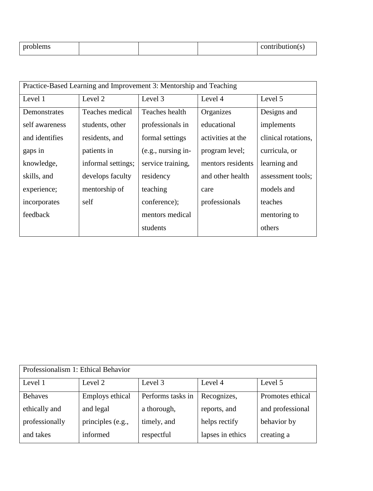| .<br>$n^{r}$<br>odiems ? |  |  |  | itribution(s |
|--------------------------|--|--|--|--------------|
|--------------------------|--|--|--|--------------|

| Practice-Based Learning and Improvement 3: Mentorship and Teaching |                    |                      |                   |                     |
|--------------------------------------------------------------------|--------------------|----------------------|-------------------|---------------------|
| Level 1                                                            | Level 2            | Level 3              | Level 4           | Level 5             |
| Demonstrates                                                       | Teaches medical    | Teaches health       | Organizes         | Designs and         |
| self awareness                                                     | students, other    | professionals in     | educational       | implements          |
| and identifies                                                     | residents, and     | formal settings      | activities at the | clinical rotations. |
| gaps in                                                            | patients in        | $(e.g.,$ nursing in- | program level;    | curricula, or       |
| knowledge,                                                         | informal settings; | service training,    | mentors residents | learning and        |
| skills, and                                                        | develops faculty   | residency            | and other health  | assessment tools;   |
| experience;                                                        | mentorship of      | teaching             | care              | models and          |
| incorporates                                                       | self               | conference);         | professionals     | teaches             |
| feedback                                                           |                    | mentors medical      |                   | mentoring to        |
|                                                                    |                    | students             |                   | others              |

| Professionalism 1: Ethical Behavior |                   |                   |                  |                  |
|-------------------------------------|-------------------|-------------------|------------------|------------------|
| Level 1                             | Level 2           | Level 3           | Level 4          | Level 5          |
| <b>Behaves</b>                      | Employs ethical   | Performs tasks in | Recognizes,      | Promotes ethical |
| ethically and                       | and legal         | a thorough,       | reports, and     | and professional |
| professionally                      | principles (e.g., | timely, and       | helps rectify    | behavior by      |
| and takes                           | informed          | respectful        | lapses in ethics | creating a       |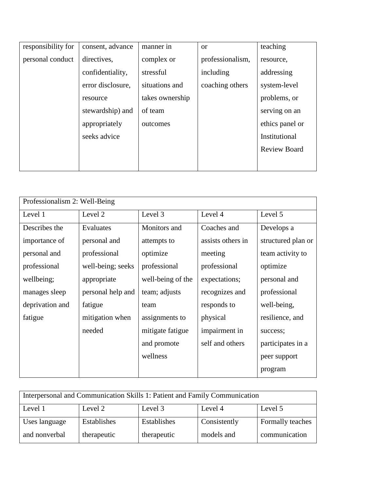| responsibility for | consent, advance  | manner in       | <b>or</b>        | teaching            |
|--------------------|-------------------|-----------------|------------------|---------------------|
| personal conduct   | directives,       | complex or      | professionalism, | resource.           |
|                    | confidentiality,  | stressful       | including        | addressing          |
|                    | error disclosure, | situations and  | coaching others  | system-level        |
|                    | resource          | takes ownership |                  | problems, or        |
|                    | stewardship) and  | of team         |                  | serving on an       |
|                    | appropriately     | outcomes        |                  | ethics panel or     |
|                    | seeks advice      |                 |                  | Institutional       |
|                    |                   |                 |                  | <b>Review Board</b> |
|                    |                   |                 |                  |                     |

| Professionalism 2: Well-Being |                   |                   |                   |                    |
|-------------------------------|-------------------|-------------------|-------------------|--------------------|
| Level 1                       | Level 2           | Level 3           | Level 4           | Level 5            |
| Describes the                 | Evaluates         | Monitors and      | Coaches and       | Develops a         |
| importance of                 | personal and      | attempts to       | assists others in | structured plan or |
| personal and                  | professional      | optimize          | meeting           | team activity to   |
| professional                  | well-being; seeks | professional      | professional      | optimize           |
| wellbeing;                    | appropriate       | well-being of the | expectations;     | personal and       |
| manages sleep                 | personal help and | team; adjusts     | recognizes and    | professional       |
| deprivation and               | fatigue           | team              | responds to       | well-being,        |
| fatigue                       | mitigation when   | assignments to    | physical          | resilience, and    |
|                               | needed            | mitigate fatigue  | impairment in     | success;           |
|                               |                   | and promote       | self and others   | participates in a  |
|                               |                   | wellness          |                   | peer support       |
|                               |                   |                   |                   | program            |

| Interpersonal and Communication Skills 1: Patient and Family Communication |             |             |              |                  |
|----------------------------------------------------------------------------|-------------|-------------|--------------|------------------|
| Level 5<br>Level 1<br>Level 3<br>Level 2<br>Level 4                        |             |             |              |                  |
| Uses language                                                              | Establishes | Establishes | Consistently | Formally teaches |
| and nonverbal                                                              | therapeutic | therapeutic | models and   | communication    |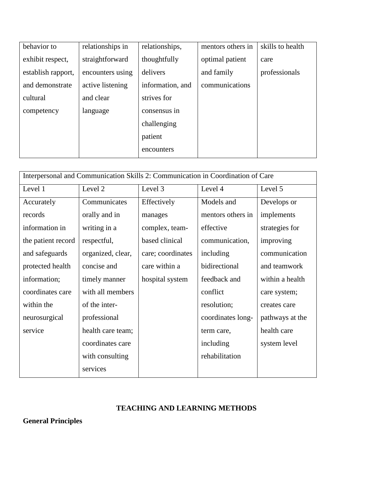| behavior to        | relationships in | relationships,   | mentors others in | skills to health |
|--------------------|------------------|------------------|-------------------|------------------|
| exhibit respect,   | straightforward  | thoughtfully     | optimal patient   | care             |
| establish rapport, | encounters using | delivers         | and family        | professionals    |
| and demonstrate    | active listening | information, and | communications    |                  |
| cultural           | and clear        | strives for      |                   |                  |
| competency         | language         | consensus in     |                   |                  |
|                    |                  | challenging      |                   |                  |
|                    |                  | patient          |                   |                  |
|                    |                  | encounters       |                   |                  |
|                    |                  |                  |                   |                  |

| Interpersonal and Communication Skills 2: Communication in Coordination of Care |                   |                   |                   |                 |
|---------------------------------------------------------------------------------|-------------------|-------------------|-------------------|-----------------|
| Level 1                                                                         | Level 2           | Level 3           | Level 4           | Level 5         |
| Accurately                                                                      | Communicates      | Effectively       | Models and        | Develops or     |
| records                                                                         | orally and in     | manages           | mentors others in | implements      |
| information in                                                                  | writing in a      | complex, team-    | effective         | strategies for  |
| the patient record                                                              | respectful,       | based clinical    | communication,    | improving       |
| and safeguards                                                                  | organized, clear, | care; coordinates | including         | communication   |
| protected health                                                                | concise and       | care within a     | bidirectional     | and teamwork    |
| information;                                                                    | timely manner     | hospital system   | feedback and      | within a health |
| coordinates care                                                                | with all members  |                   | conflict          | care system;    |
| within the                                                                      | of the inter-     |                   | resolution;       | creates care    |
| neurosurgical                                                                   | professional      |                   | coordinates long- | pathways at the |
| service                                                                         | health care team; |                   | term care,        | health care     |
|                                                                                 | coordinates care  |                   | including         | system level    |
|                                                                                 | with consulting   |                   | rehabilitation    |                 |
|                                                                                 | services          |                   |                   |                 |

### **TEACHING AND LEARNING METHODS**

**General Principles**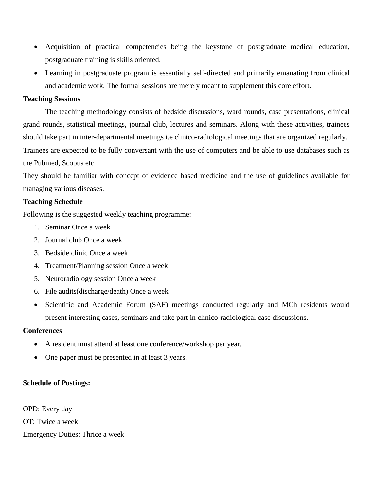- Acquisition of practical competencies being the keystone of postgraduate medical education, postgraduate training is skills oriented.
- Learning in postgraduate program is essentially self-directed and primarily emanating from clinical and academic work. The formal sessions are merely meant to supplement this core effort.

#### **Teaching Sessions**

The teaching methodology consists of bedside discussions, ward rounds, case presentations, clinical grand rounds, statistical meetings, journal club, lectures and seminars. Along with these activities, trainees should take part in inter-departmental meetings i.e clinico-radiological meetings that are organized regularly. Trainees are expected to be fully conversant with the use of computers and be able to use databases such as the Pubmed, Scopus etc.

They should be familiar with concept of evidence based medicine and the use of guidelines available for managing various diseases.

#### **Teaching Schedule**

Following is the suggested weekly teaching programme:

- 1. Seminar Once a week
- 2. Journal club Once a week
- 3. Bedside clinic Once a week
- 4. Treatment/Planning session Once a week
- 5. Neuroradiology session Once a week
- 6. File audits(discharge/death) Once a week
- Scientific and Academic Forum (SAF) meetings conducted regularly and MCh residents would present interesting cases, seminars and take part in clinico-radiological case discussions.

#### **Conferences**

- A resident must attend at least one conference/workshop per year.
- One paper must be presented in at least 3 years.

#### **Schedule of Postings:**

OPD: Every day OT: Twice a week Emergency Duties: Thrice a week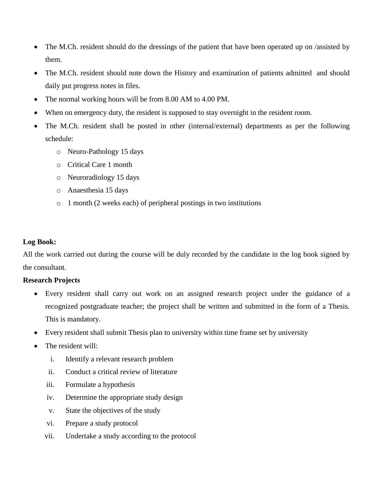- The M.Ch. resident should do the dressings of the patient that have been operated up on /assisted by them.
- The M.Ch. resident should note down the History and examination of patients admitted and should daily put progress notes in files.
- The normal working hours will be from 8.00 AM to 4.00 PM.
- When on emergency duty, the resident is supposed to stay overnight in the resident room.
- The M.Ch. resident shall be posted in other (internal/external) departments as per the following schedule:
	- o Neuro-Pathology 15 days
	- o Critical Care 1 month
	- o Neuroradiology 15 days
	- o Anaesthesia 15 days
	- o 1 month (2 weeks each) of peripheral postings in two institutions

#### **Log Book:**

All the work carried out during the course will be duly recorded by the candidate in the log book signed by the consultant.

#### **Research Projects**

- Every resident shall carry out work on an assigned research project under the guidance of a recognized postgraduate teacher; the project shall be written and submitted in the form of a Thesis. This is mandatory.
- Every resident shall submit Thesis plan to university within time frame set by university
- The resident will:
	- i. Identify a relevant research problem
	- ii. Conduct a critical review of literature
	- iii. Formulate a hypothesis
	- iv. Determine the appropriate study design
	- v. State the objectives of the study
	- vi. Prepare a study protocol
	- vii. Undertake a study according to the protocol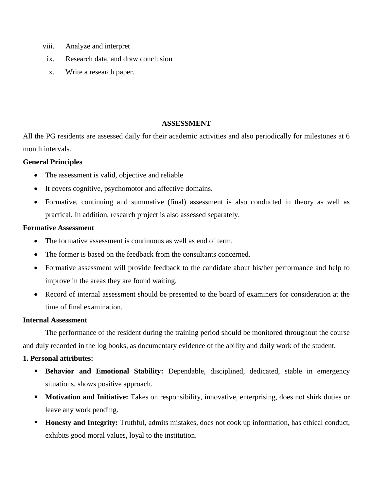- viii. Analyze and interpret
- ix. Research data, and draw conclusion
- x. Write a research paper.

#### **ASSESSMENT**

All the PG residents are assessed daily for their academic activities and also periodically for milestones at 6 month intervals.

#### **General Principles**

- The assessment is valid, objective and reliable
- It covers cognitive, psychomotor and affective domains.
- Formative, continuing and summative (final) assessment is also conducted in theory as well as practical. In addition, research project is also assessed separately.

#### **Formative Assessment**

- The formative assessment is continuous as well as end of term.
- The former is based on the feedback from the consultants concerned.
- Formative assessment will provide feedback to the candidate about his/her performance and help to improve in the areas they are found waiting.
- Record of internal assessment should be presented to the board of examiners for consideration at the time of final examination.

#### **Internal Assessment**

The performance of the resident during the training period should be monitored throughout the course and duly recorded in the log books, as documentary evidence of the ability and daily work of the student.

#### **1. Personal attributes:**

- **Behavior and Emotional Stability:** Dependable, disciplined, dedicated, stable in emergency situations, shows positive approach.
- **Motivation and Initiative:** Takes on responsibility, innovative, enterprising, does not shirk duties or leave any work pending.
- **Honesty and Integrity:** Truthful, admits mistakes, does not cook up information, has ethical conduct, exhibits good moral values, loyal to the institution.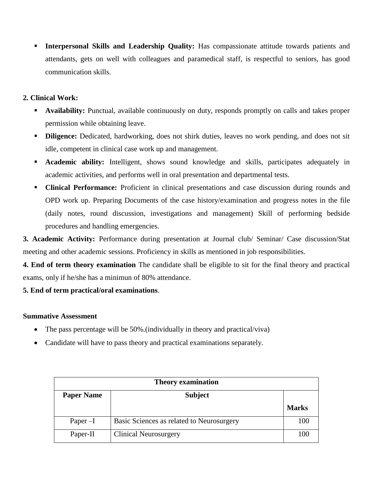**Interpersonal Skills and Leadership Quality:** Has compassionate attitude towards patients and attendants, gets on well with colleagues and paramedical staff, is respectful to seniors, has good communication skills.

### **2. Clinical Work:**

- **Availability:** Punctual, available continuously on duty, responds promptly on calls and takes proper permission while obtaining leave.
- **Diligence:** Dedicated, hardworking, does not shirk duties, leaves no work pending, and does not sit idle, competent in clinical case work up and management.
- **Academic ability:** Intelligent, shows sound knowledge and skills, participates adequately in academic activities, and performs well in oral presentation and departmental tests.
- **Clinical Performance:** Proficient in clinical presentations and case discussion during rounds and OPD work up. Preparing Documents of the case history/examination and progress notes in the file (daily notes, round discussion, investigations and management) Skill of performing bedside procedures and handling emergencies.

**3. Academic Activity:** Performance during presentation at Journal club/ Seminar/ Case discussion/Stat meeting and other academic sessions. Proficiency in skills as mentioned in job responsibilities.

**4. End of term theory examination** The candidate shall be eligible to sit for the final theory and practical exams, only if he/she has a minimun of 80% attendance.

### **5. End of term practical/oral examinations**.

#### **Summative Assessment**

- The pass percentage will be 50%.(individually in theory and practical/viva)
- Candidate will have to pass theory and practical examinations separately.

| <b>Theory examination</b> |                                           |              |  |  |
|---------------------------|-------------------------------------------|--------------|--|--|
| <b>Paper Name</b>         | <b>Subject</b>                            |              |  |  |
|                           |                                           | <b>Marks</b> |  |  |
| Paper $-I$                | Basic Sciences as related to Neurosurgery | 100          |  |  |
| Paper-II                  | <b>Clinical Neurosurgery</b>              | 100          |  |  |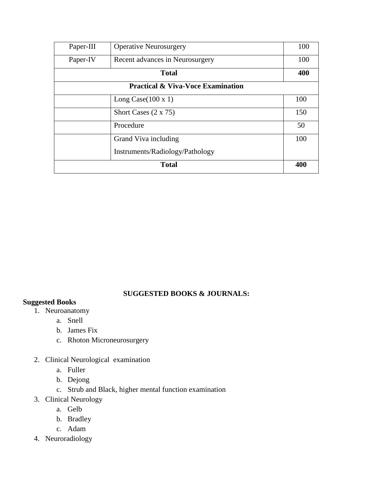| Paper-III    | <b>Operative Neurosurgery</b>                | 100 |  |
|--------------|----------------------------------------------|-----|--|
| Paper-IV     | Recent advances in Neurosurgery              | 100 |  |
| <b>Total</b> |                                              |     |  |
|              | <b>Practical &amp; Viva-Voce Examination</b> |     |  |
|              | Long Case $(100 \times 1)$                   | 100 |  |
|              | Short Cases $(2 \times 75)$                  | 150 |  |
|              | Procedure                                    | 50  |  |
|              | Grand Viva including                         | 100 |  |
|              | Instruments/Radiology/Pathology              |     |  |
|              | <b>Total</b>                                 | 400 |  |

#### **SUGGESTED BOOKS & JOURNALS:**

#### **Suggested Books**

- 1. Neuroanatomy
	- a. Snell
	- b. James Fix
	- c. Rhoton Microneurosurgery
- 2. Clinical Neurological examination
	- a. Fuller
	- b. Dejong
	- c. Strub and Black, higher mental function examination
- 3. Clinical Neurology
	- a. Gelb
	- b. Bradley
	- c. Adam
- 4. Neuroradiology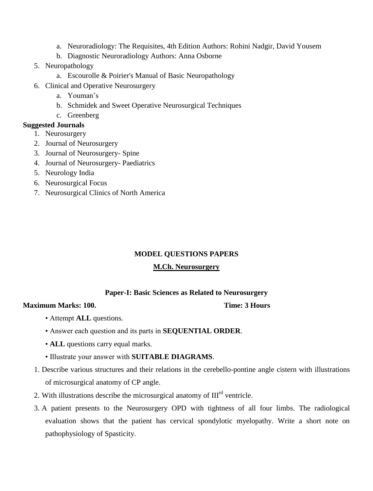- a. Neuroradiology: The Requisites, 4th Edition Authors: Rohini Nadgir, David Yousem
- b. Diagnostic Neuroradiology Authors: Anna Osborne
- 5. Neuropathology
	- a. Escourolle & Poirier's Manual of Basic Neuropathology
- 6. Clinical and Operative Neurosurgery
	- a. Youman's
	- b. Schmidek and Sweet Operative Neurosurgical Techniques
	- c. Greenberg

#### **Suggested Journals**

- 1. Neurosurgery
- 2. Journal of Neurosurgery
- 3. Journal of Neurosurgery- Spine
- 4. Journal of Neurosurgery- Paediatrics
- 5. Neurology India
- 6. Neurosurgical Focus
- 7. Neurosurgical Clinics of North America

#### **MODEL QUESTIONS PAPERS**

#### **M.Ch. Neurosurgery**

#### **Paper-I: Basic Sciences as Related to Neurosurgery**

#### **Maximum Marks: 100.** Time: 3 Hours

- Attempt **ALL** questions.
- Answer each question and its parts in **SEQUENTIAL ORDER**.
- **ALL** questions carry equal marks.
- Illustrate your answer with **SUITABLE DIAGRAMS**.
- 1. Describe various structures and their relations in the cerebello-pontine angle cistern with illustrations of microsurgical anatomy of CP angle.
- 2. With illustrations describe the microsurgical anatomy of  $III<sup>rd</sup>$  ventricle.
- 3. A patient presents to the Neurosurgery OPD with tightness of all four limbs. The radiological evaluation shows that the patient has cervical spondylotic myelopathy. Write a short note on pathophysiology of Spasticity.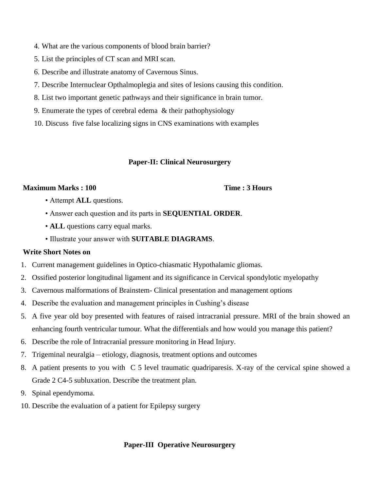- 4. What are the various components of blood brain barrier?
- 5. List the principles of CT scan and MRI scan.
- 6. Describe and illustrate anatomy of Cavernous Sinus.
- 7. Describe Internuclear Opthalmoplegia and sites of lesions causing this condition.
- 8. List two important genetic pathways and their significance in brain tumor.
- 9. Enumerate the types of cerebral edema & their pathophysiology
- 10. Discuss five false localizing signs in CNS examinations with examples

#### **Paper-II: Clinical Neurosurgery**

#### **Maximum Marks : 100 Time : 3 Hours**

- Attempt **ALL** questions.
- Answer each question and its parts in **SEQUENTIAL ORDER**.
- **ALL** questions carry equal marks.
- Illustrate your answer with **SUITABLE DIAGRAMS**.

#### **Write Short Notes on**

- 1. Current management guidelines in Optico-chiasmatic Hypothalamic gliomas.
- 2. Ossified posterior longitudinal ligament and its significance in Cervical spondylotic myelopathy
- 3. Cavernous malformations of Brainstem- Clinical presentation and management options
- 4. Describe the evaluation and management principles in Cushing's disease
- 5. A five year old boy presented with features of raised intracranial pressure. MRI of the brain showed an enhancing fourth ventricular tumour. What the differentials and how would you manage this patient?
- 6. Describe the role of Intracranial pressure monitoring in Head Injury.
- 7. Trigeminal neuralgia etiology, diagnosis, treatment options and outcomes
- 8. A patient presents to you with C 5 level traumatic quadriparesis. X-ray of the cervical spine showed a Grade 2 C4-5 subluxation. Describe the treatment plan.
- 9. Spinal ependymoma.
- 10. Describe the evaluation of a patient for Epilepsy surgery

#### **Paper-III Operative Neurosurgery**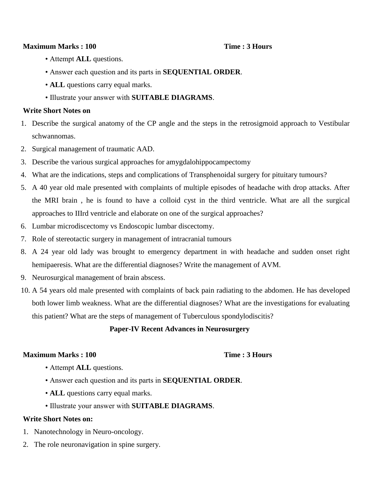#### **Maximum Marks : 100 Time : 3 Hours**

- Attempt **ALL** questions.
- Answer each question and its parts in **SEQUENTIAL ORDER**.
- **ALL** questions carry equal marks.
- Illustrate your answer with **SUITABLE DIAGRAMS**.

#### **Write Short Notes on**

- 1. Describe the surgical anatomy of the CP angle and the steps in the retrosigmoid approach to Vestibular schwannomas.
- 2. Surgical management of traumatic AAD.
- 3. Describe the various surgical approaches for amygdalohippocampectomy
- 4. What are the indications, steps and complications of Transphenoidal surgery for pituitary tumours?
- 5. A 40 year old male presented with complaints of multiple episodes of headache with drop attacks. After the MRI brain , he is found to have a colloid cyst in the third ventricle. What are all the surgical approaches to IIIrd ventricle and elaborate on one of the surgical approaches?
- 6. Lumbar microdiscectomy vs Endoscopic lumbar discectomy.
- 7. Role of stereotactic surgery in management of intracranial tumours
- 8. A 24 year old lady was brought to emergency department in with headache and sudden onset right hemipaeresis. What are the differential diagnoses? Write the management of AVM.
- 9. Neurosurgical management of brain abscess.
- 10. A 54 years old male presented with complaints of back pain radiating to the abdomen. He has developed both lower limb weakness. What are the differential diagnoses? What are the investigations for evaluating this patient? What are the steps of management of Tuberculous spondylodiscitis?

#### **Paper-IV Recent Advances in Neurosurgery**

#### **Maximum Marks : 100 Time : 3 Hours**

- Attempt **ALL** questions.
- Answer each question and its parts in **SEQUENTIAL ORDER**.
- **ALL** questions carry equal marks.
- Illustrate your answer with **SUITABLE DIAGRAMS**.

#### **Write Short Notes on:**

- 1. Nanotechnology in Neuro-oncology.
- 2. The role neuronavigation in spine surgery.